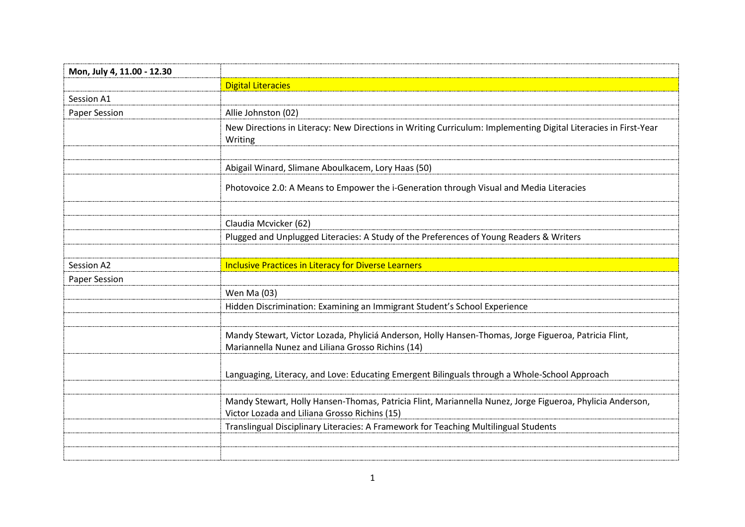| Mon, July 4, 11.00 - 12.30 |                                                                                                                                                            |
|----------------------------|------------------------------------------------------------------------------------------------------------------------------------------------------------|
|                            | <b>Digital Literacies</b>                                                                                                                                  |
| Session A1                 |                                                                                                                                                            |
| Paper Session              | Allie Johnston (02)                                                                                                                                        |
|                            | New Directions in Literacy: New Directions in Writing Curriculum: Implementing Digital Literacies in First-Year<br>Writing                                 |
|                            |                                                                                                                                                            |
|                            | Abigail Winard, Slimane Aboulkacem, Lory Haas (50)                                                                                                         |
|                            | Photovoice 2.0: A Means to Empower the i-Generation through Visual and Media Literacies                                                                    |
|                            |                                                                                                                                                            |
|                            | Claudia Mcvicker (62)                                                                                                                                      |
|                            | Plugged and Unplugged Literacies: A Study of the Preferences of Young Readers & Writers                                                                    |
|                            |                                                                                                                                                            |
| Session A2                 | <b>Inclusive Practices in Literacy for Diverse Learners</b>                                                                                                |
|                            |                                                                                                                                                            |
| Paper Session              |                                                                                                                                                            |
|                            | Wen Ma (03)                                                                                                                                                |
|                            | Hidden Discrimination: Examining an Immigrant Student's School Experience                                                                                  |
|                            |                                                                                                                                                            |
|                            | Mandy Stewart, Victor Lozada, Phyliciá Anderson, Holly Hansen-Thomas, Jorge Figueroa, Patricia Flint,<br>Mariannella Nunez and Liliana Grosso Richins (14) |
|                            |                                                                                                                                                            |
|                            | Languaging, Literacy, and Love: Educating Emergent Bilinguals through a Whole-School Approach                                                              |
|                            | Mandy Stewart, Holly Hansen-Thomas, Patricia Flint, Mariannella Nunez, Jorge Figueroa, Phylicia Anderson,<br>Victor Lozada and Liliana Grosso Richins (15) |
|                            | Translingual Disciplinary Literacies: A Framework for Teaching Multilingual Students                                                                       |
|                            |                                                                                                                                                            |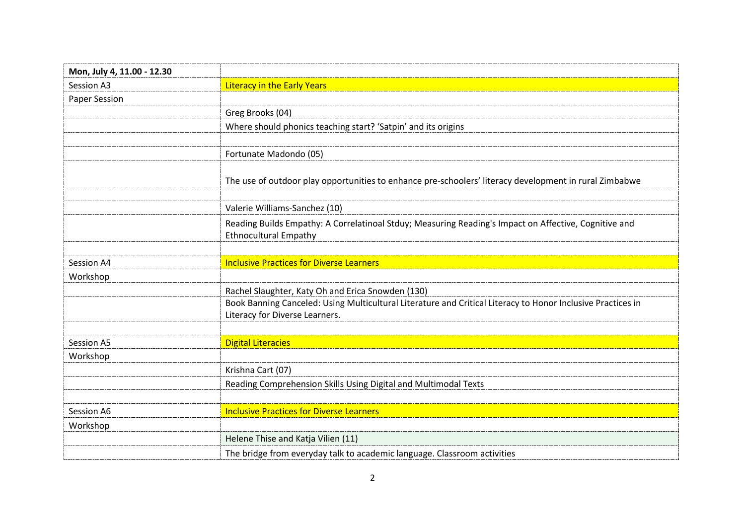| Mon, July 4, 11.00 - 12.30 |                                                                                                                                               |
|----------------------------|-----------------------------------------------------------------------------------------------------------------------------------------------|
| Session A3                 | <b>Literacy in the Early Years</b>                                                                                                            |
| Paper Session              |                                                                                                                                               |
|                            | Greg Brooks (04)                                                                                                                              |
|                            | Where should phonics teaching start? 'Satpin' and its origins                                                                                 |
|                            |                                                                                                                                               |
|                            | Fortunate Madondo (05)                                                                                                                        |
|                            | The use of outdoor play opportunities to enhance pre-schoolers' literacy development in rural Zimbabwe                                        |
|                            |                                                                                                                                               |
|                            | Valerie Williams-Sanchez (10)                                                                                                                 |
|                            | Reading Builds Empathy: A Correlatinoal Stduy; Measuring Reading's Impact on Affective, Cognitive and<br><b>Ethnocultural Empathy</b>         |
|                            |                                                                                                                                               |
| Session A4                 | <b>Inclusive Practices for Diverse Learners</b>                                                                                               |
| Workshop                   |                                                                                                                                               |
|                            | Rachel Slaughter, Katy Oh and Erica Snowden (130)                                                                                             |
|                            | Book Banning Canceled: Using Multicultural Literature and Critical Literacy to Honor Inclusive Practices in<br>Literacy for Diverse Learners. |
|                            |                                                                                                                                               |
| Session A5                 | <b>Digital Literacies</b>                                                                                                                     |
| Workshop                   |                                                                                                                                               |
|                            | Krishna Cart (07)                                                                                                                             |
|                            | Reading Comprehension Skills Using Digital and Multimodal Texts                                                                               |
|                            |                                                                                                                                               |
| Session A6                 | <b>Inclusive Practices for Diverse Learners</b>                                                                                               |
| Workshop                   |                                                                                                                                               |
|                            | Helene Thise and Katja Vilien (11)                                                                                                            |
|                            | The bridge from everyday talk to academic language. Classroom activities                                                                      |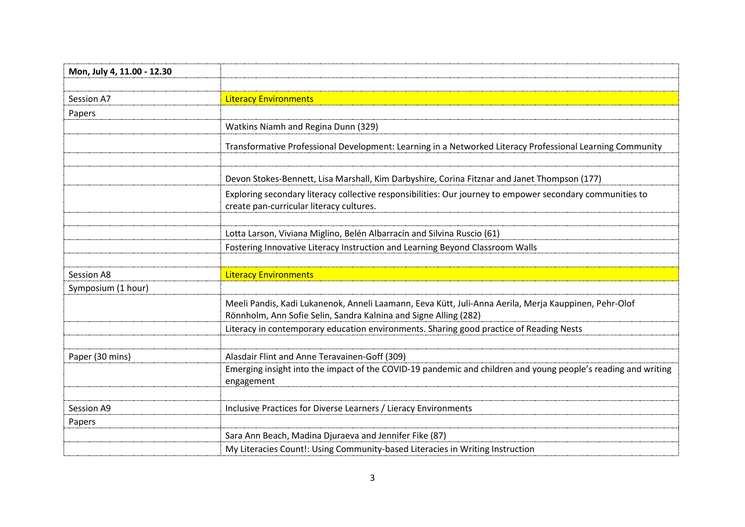| Mon, July 4, 11.00 - 12.30 |                                                                                                                                                                           |
|----------------------------|---------------------------------------------------------------------------------------------------------------------------------------------------------------------------|
|                            |                                                                                                                                                                           |
| Session A7                 | <b>Literacy Environments</b>                                                                                                                                              |
| Papers                     |                                                                                                                                                                           |
|                            | Watkins Niamh and Regina Dunn (329)                                                                                                                                       |
|                            | Transformative Professional Development: Learning in a Networked Literacy Professional Learning Community                                                                 |
|                            | Devon Stokes-Bennett, Lisa Marshall, Kim Darbyshire, Corina Fitznar and Janet Thompson (177)                                                                              |
|                            | Exploring secondary literacy collective responsibilities: Our journey to empower secondary communities to<br>create pan-curricular literacy cultures.                     |
|                            |                                                                                                                                                                           |
|                            | Lotta Larson, Viviana Miglino, Belén Albarracín and Silvina Ruscio (61)                                                                                                   |
|                            | Fostering Innovative Literacy Instruction and Learning Beyond Classroom Walls                                                                                             |
|                            |                                                                                                                                                                           |
| Session A8                 | <b>Literacy Environments</b>                                                                                                                                              |
| Symposium (1 hour)         |                                                                                                                                                                           |
|                            | Meeli Pandis, Kadi Lukanenok, Anneli Laamann, Eeva Kütt, Juli-Anna Aerila, Merja Kauppinen, Pehr-Olof<br>Rönnholm, Ann Sofie Selin, Sandra Kalnina and Signe Alling (282) |
|                            | Literacy in contemporary education environments. Sharing good practice of Reading Nests                                                                                   |
| Paper (30 mins)            | Alasdair Flint and Anne Teravainen-Goff (309)                                                                                                                             |
|                            | Emerging insight into the impact of the COVID-19 pandemic and children and young people's reading and writing<br>engagement                                               |
|                            |                                                                                                                                                                           |
| Session A9                 | Inclusive Practices for Diverse Learners / Lieracy Environments                                                                                                           |
| Papers                     |                                                                                                                                                                           |
|                            | Sara Ann Beach, Madina Djuraeva and Jennifer Fike (87)                                                                                                                    |
|                            | My Literacies Count!: Using Community-based Literacies in Writing Instruction                                                                                             |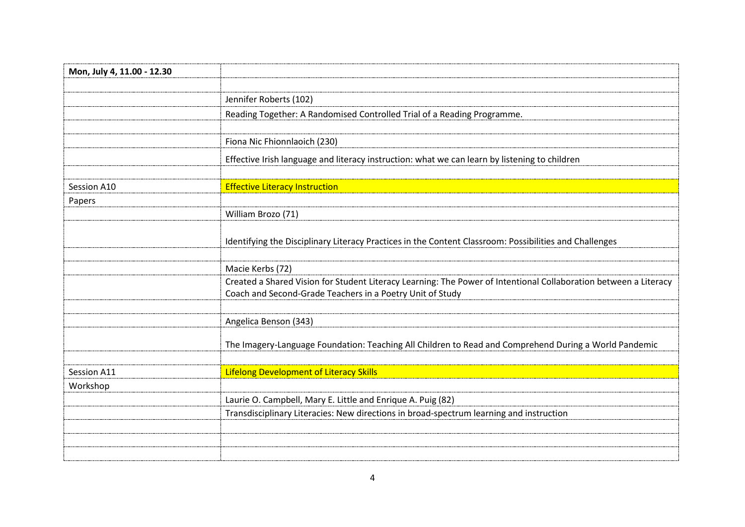| Mon, July 4, 11.00 - 12.30 |                                                                                                                                                                               |
|----------------------------|-------------------------------------------------------------------------------------------------------------------------------------------------------------------------------|
|                            |                                                                                                                                                                               |
|                            | Jennifer Roberts (102)                                                                                                                                                        |
|                            | Reading Together: A Randomised Controlled Trial of a Reading Programme.                                                                                                       |
|                            |                                                                                                                                                                               |
|                            | Fiona Nic Fhionnlaoich (230)                                                                                                                                                  |
|                            | Effective Irish language and literacy instruction: what we can learn by listening to children                                                                                 |
| Session A10                | <b>Effective Literacy Instruction</b>                                                                                                                                         |
| Papers                     |                                                                                                                                                                               |
|                            | William Brozo (71)                                                                                                                                                            |
|                            | Identifying the Disciplinary Literacy Practices in the Content Classroom: Possibilities and Challenges                                                                        |
|                            |                                                                                                                                                                               |
|                            | Macie Kerbs (72)                                                                                                                                                              |
|                            | Created a Shared Vision for Student Literacy Learning: The Power of Intentional Collaboration between a Literacy<br>Coach and Second-Grade Teachers in a Poetry Unit of Study |
|                            |                                                                                                                                                                               |
|                            | Angelica Benson (343)                                                                                                                                                         |
|                            | The Imagery-Language Foundation: Teaching All Children to Read and Comprehend During a World Pandemic                                                                         |
| Session A11                | <b>Lifelong Development of Literacy Skills</b>                                                                                                                                |
| Workshop                   |                                                                                                                                                                               |
|                            | Laurie O. Campbell, Mary E. Little and Enrique A. Puig (82)                                                                                                                   |
|                            | Transdisciplinary Literacies: New directions in broad-spectrum learning and instruction                                                                                       |
|                            |                                                                                                                                                                               |
|                            |                                                                                                                                                                               |
|                            |                                                                                                                                                                               |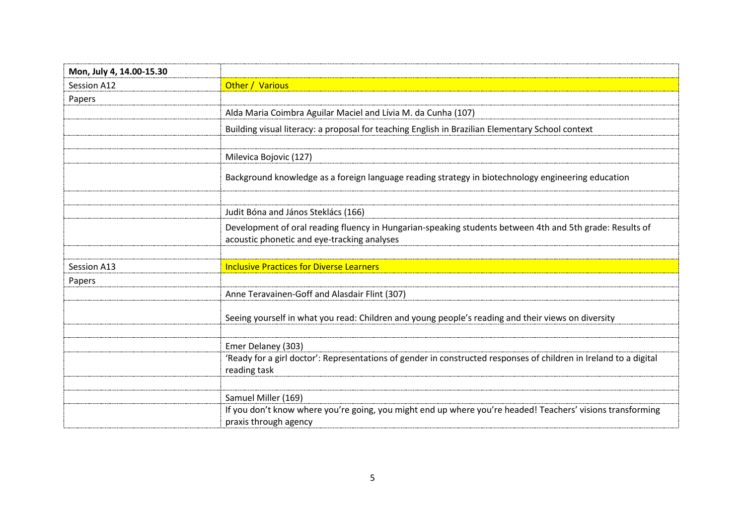| Mon, July 4, 14.00-15.30 |                                                                                                                                                         |
|--------------------------|---------------------------------------------------------------------------------------------------------------------------------------------------------|
| Session A12              | Other / Various                                                                                                                                         |
| Papers                   |                                                                                                                                                         |
|                          | Alda Maria Coimbra Aguilar Maciel and Lívia M. da Cunha (107)                                                                                           |
|                          | Building visual literacy: a proposal for teaching English in Brazilian Elementary School context                                                        |
|                          |                                                                                                                                                         |
|                          | Milevica Bojovic (127)                                                                                                                                  |
|                          | Background knowledge as a foreign language reading strategy in biotechnology engineering education                                                      |
|                          |                                                                                                                                                         |
|                          | Judit Bóna and János Steklács (166)                                                                                                                     |
|                          | Development of oral reading fluency in Hungarian-speaking students between 4th and 5th grade: Results of<br>acoustic phonetic and eye-tracking analyses |
|                          |                                                                                                                                                         |
| Session A13              | <b>Inclusive Practices for Diverse Learners</b>                                                                                                         |
| Papers                   |                                                                                                                                                         |
|                          | Anne Teravainen-Goff and Alasdair Flint (307)                                                                                                           |
|                          | Seeing yourself in what you read: Children and young people's reading and their views on diversity                                                      |
|                          |                                                                                                                                                         |
|                          | Emer Delaney (303)                                                                                                                                      |
|                          | 'Ready for a girl doctor': Representations of gender in constructed responses of children in Ireland to a digital<br>reading task                       |
|                          |                                                                                                                                                         |
|                          | Samuel Miller (169)                                                                                                                                     |
|                          | If you don't know where you're going, you might end up where you're headed! Teachers' visions transforming<br>praxis through agency                     |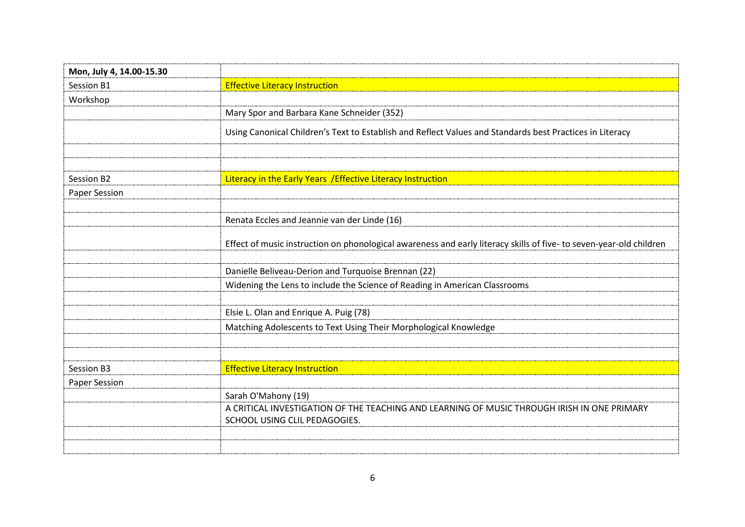| Mon, July 4, 14.00-15.30 |                                                                                                                     |
|--------------------------|---------------------------------------------------------------------------------------------------------------------|
| Session B1               | <b>Effective Literacy Instruction</b>                                                                               |
| Workshop                 |                                                                                                                     |
|                          | Mary Spor and Barbara Kane Schneider (352)                                                                          |
|                          | Using Canonical Children's Text to Establish and Reflect Values and Standards best Practices in Literacy            |
|                          |                                                                                                                     |
| Session B2               | Literacy in the Early Years / Effective Literacy Instruction                                                        |
| Paper Session            |                                                                                                                     |
|                          |                                                                                                                     |
|                          | Renata Eccles and Jeannie van der Linde (16)                                                                        |
|                          | Effect of music instruction on phonological awareness and early literacy skills of five- to seven-year-old children |
|                          | Danielle Beliveau-Derion and Turquoise Brennan (22)                                                                 |
|                          | Widening the Lens to include the Science of Reading in American Classrooms                                          |
|                          |                                                                                                                     |
|                          | Elsie L. Olan and Enrique A. Puig (78)                                                                              |
|                          | Matching Adolescents to Text Using Their Morphological Knowledge                                                    |
|                          |                                                                                                                     |
| Session B3               | <b>Effective Literacy Instruction</b>                                                                               |
| Paper Session            |                                                                                                                     |
|                          | Sarah O'Mahony (19)                                                                                                 |
|                          | A CRITICAL INVESTIGATION OF THE TEACHING AND LEARNING OF MUSIC THROUGH IRISH IN ONE PRIMARY                         |
|                          | SCHOOL USING CLIL PEDAGOGIES.                                                                                       |
|                          |                                                                                                                     |
|                          |                                                                                                                     |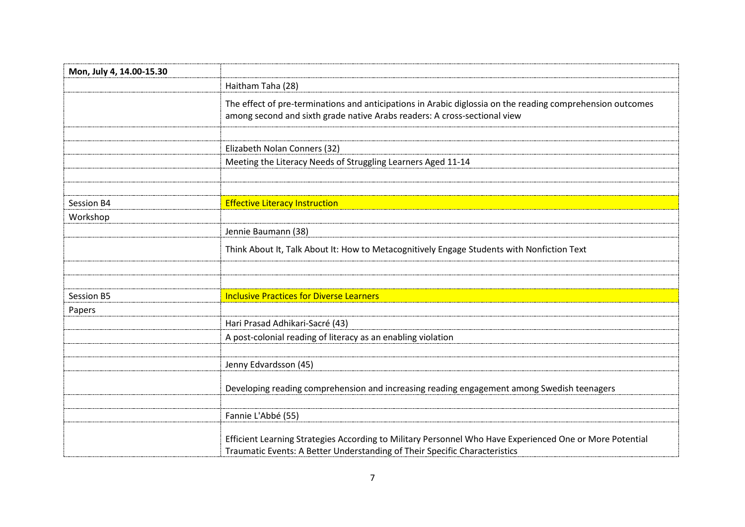| Mon, July 4, 14.00-15.30 |                                                                                                                                                                                         |
|--------------------------|-----------------------------------------------------------------------------------------------------------------------------------------------------------------------------------------|
|                          | Haitham Taha (28)                                                                                                                                                                       |
|                          | The effect of pre-terminations and anticipations in Arabic diglossia on the reading comprehension outcomes<br>among second and sixth grade native Arabs readers: A cross-sectional view |
|                          | Elizabeth Nolan Conners (32)                                                                                                                                                            |
|                          | Meeting the Literacy Needs of Struggling Learners Aged 11-14                                                                                                                            |
| Session B4               | <b>Effective Literacy Instruction</b>                                                                                                                                                   |
| Workshop                 |                                                                                                                                                                                         |
|                          | Jennie Baumann (38)                                                                                                                                                                     |
|                          | Think About It, Talk About It: How to Metacognitively Engage Students with Nonfiction Text                                                                                              |
|                          |                                                                                                                                                                                         |
| Session B5               | <b>Inclusive Practices for Diverse Learners</b>                                                                                                                                         |
| Papers                   |                                                                                                                                                                                         |
|                          | Hari Prasad Adhikari-Sacré (43)                                                                                                                                                         |
|                          | A post-colonial reading of literacy as an enabling violation                                                                                                                            |
|                          |                                                                                                                                                                                         |
|                          | Jenny Edvardsson (45)                                                                                                                                                                   |
|                          | Developing reading comprehension and increasing reading engagement among Swedish teenagers                                                                                              |
|                          | Fannie L'Abbé (55)                                                                                                                                                                      |
|                          | Efficient Learning Strategies According to Military Personnel Who Have Experienced One or More Potential<br>Traumatic Events: A Better Understanding of Their Specific Characteristics  |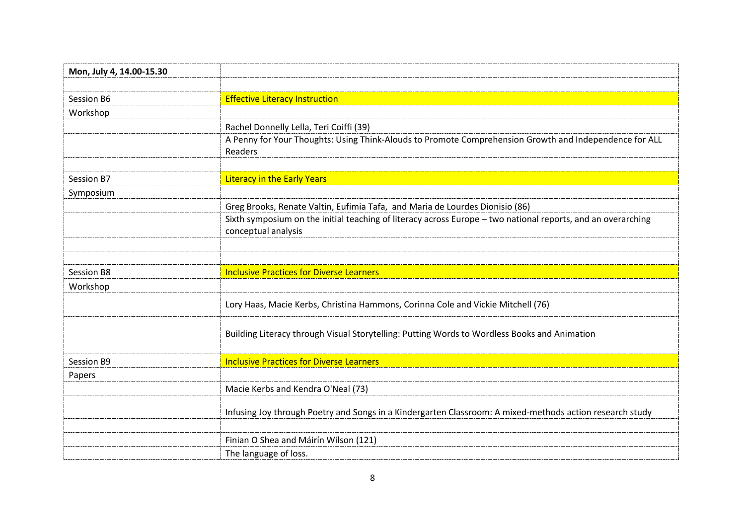| Mon, July 4, 14.00-15.30 |                                                                                                                                     |
|--------------------------|-------------------------------------------------------------------------------------------------------------------------------------|
|                          |                                                                                                                                     |
| Session B6               | <b>Effective Literacy Instruction</b>                                                                                               |
| Workshop                 |                                                                                                                                     |
|                          | Rachel Donnelly Lella, Teri Coiffi (39)                                                                                             |
|                          | A Penny for Your Thoughts: Using Think-Alouds to Promote Comprehension Growth and Independence for ALL<br>Readers                   |
|                          |                                                                                                                                     |
| Session B7               | <b>Literacy in the Early Years</b>                                                                                                  |
| Symposium                |                                                                                                                                     |
|                          | Greg Brooks, Renate Valtin, Eufimia Tafa, and Maria de Lourdes Dionisio (86)                                                        |
|                          | Sixth symposium on the initial teaching of literacy across Europe - two national reports, and an overarching<br>conceptual analysis |
|                          |                                                                                                                                     |
|                          |                                                                                                                                     |
| Session B8               | <b>Inclusive Practices for Diverse Learners</b>                                                                                     |
| Workshop                 |                                                                                                                                     |
|                          | Lory Haas, Macie Kerbs, Christina Hammons, Corinna Cole and Vickie Mitchell (76)                                                    |
|                          | Building Literacy through Visual Storytelling: Putting Words to Wordless Books and Animation                                        |
|                          |                                                                                                                                     |
| Session B9               | <b>Inclusive Practices for Diverse Learners</b>                                                                                     |
| Papers                   |                                                                                                                                     |
|                          | Macie Kerbs and Kendra O'Neal (73)                                                                                                  |
|                          | Infusing Joy through Poetry and Songs in a Kindergarten Classroom: A mixed-methods action research study                            |
|                          |                                                                                                                                     |
|                          | Finian O Shea and Máirín Wilson (121)                                                                                               |
|                          | The language of loss.                                                                                                               |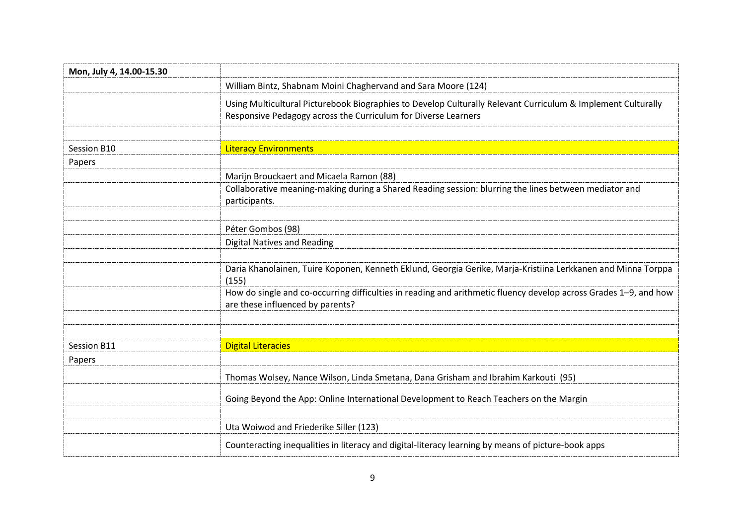| Mon, July 4, 14.00-15.30 |                                                                                                                                                                                |
|--------------------------|--------------------------------------------------------------------------------------------------------------------------------------------------------------------------------|
|                          | William Bintz, Shabnam Moini Chaghervand and Sara Moore (124)                                                                                                                  |
|                          | Using Multicultural Picturebook Biographies to Develop Culturally Relevant Curriculum & Implement Culturally<br>Responsive Pedagogy across the Curriculum for Diverse Learners |
|                          |                                                                                                                                                                                |
| Session B10              | <b>Literacy Environments</b>                                                                                                                                                   |
| Papers                   |                                                                                                                                                                                |
|                          | Marijn Brouckaert and Micaela Ramon (88)                                                                                                                                       |
|                          | Collaborative meaning-making during a Shared Reading session: blurring the lines between mediator and<br>participants.                                                         |
|                          |                                                                                                                                                                                |
|                          | Péter Gombos (98)                                                                                                                                                              |
|                          | <b>Digital Natives and Reading</b>                                                                                                                                             |
|                          |                                                                                                                                                                                |
|                          | Daria Khanolainen, Tuire Koponen, Kenneth Eklund, Georgia Gerike, Marja-Kristiina Lerkkanen and Minna Torppa<br>(155)                                                          |
|                          | How do single and co-occurring difficulties in reading and arithmetic fluency develop across Grades 1-9, and how<br>are these influenced by parents?                           |
|                          |                                                                                                                                                                                |
| Session B11              | <b>Digital Literacies</b>                                                                                                                                                      |
| Papers                   |                                                                                                                                                                                |
|                          | Thomas Wolsey, Nance Wilson, Linda Smetana, Dana Grisham and Ibrahim Karkouti (95)                                                                                             |
|                          | Going Beyond the App: Online International Development to Reach Teachers on the Margin                                                                                         |
|                          |                                                                                                                                                                                |
|                          | Uta Woiwod and Friederike Siller (123)                                                                                                                                         |
|                          | Counteracting inequalities in literacy and digital-literacy learning by means of picture-book apps                                                                             |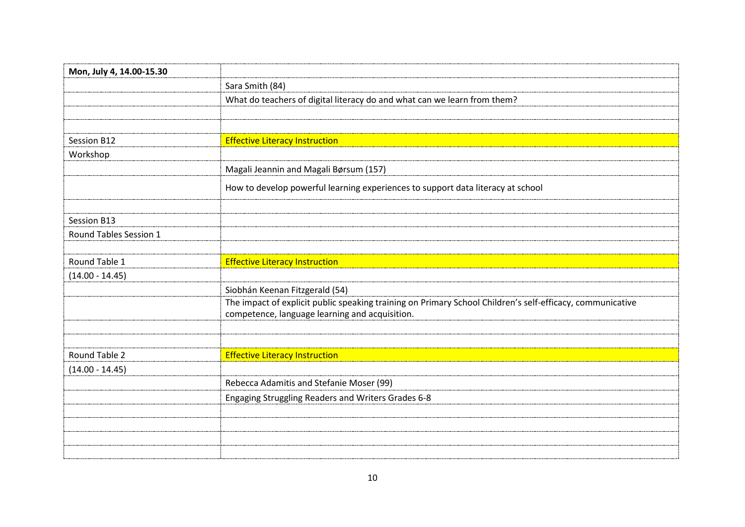| Mon, July 4, 14.00-15.30 |                                                                                                                                                             |
|--------------------------|-------------------------------------------------------------------------------------------------------------------------------------------------------------|
|                          | Sara Smith (84)                                                                                                                                             |
|                          | What do teachers of digital literacy do and what can we learn from them?                                                                                    |
|                          |                                                                                                                                                             |
|                          |                                                                                                                                                             |
| Session B12              | <b>Effective Literacy Instruction</b>                                                                                                                       |
| Workshop                 |                                                                                                                                                             |
|                          | Magali Jeannin and Magali Børsum (157)                                                                                                                      |
|                          | How to develop powerful learning experiences to support data literacy at school                                                                             |
|                          |                                                                                                                                                             |
| Session B13              |                                                                                                                                                             |
| Round Tables Session 1   |                                                                                                                                                             |
|                          |                                                                                                                                                             |
| Round Table 1            | <b>Effective Literacy Instruction</b>                                                                                                                       |
| $(14.00 - 14.45)$        |                                                                                                                                                             |
|                          | Siobhán Keenan Fitzgerald (54)                                                                                                                              |
|                          | The impact of explicit public speaking training on Primary School Children's self-efficacy, communicative<br>competence, language learning and acquisition. |
|                          |                                                                                                                                                             |
|                          |                                                                                                                                                             |
| Round Table 2            | <b>Effective Literacy Instruction</b>                                                                                                                       |
| $(14.00 - 14.45)$        |                                                                                                                                                             |
|                          | Rebecca Adamitis and Stefanie Moser (99)                                                                                                                    |
|                          | Engaging Struggling Readers and Writers Grades 6-8                                                                                                          |
|                          |                                                                                                                                                             |
|                          |                                                                                                                                                             |
|                          |                                                                                                                                                             |
|                          |                                                                                                                                                             |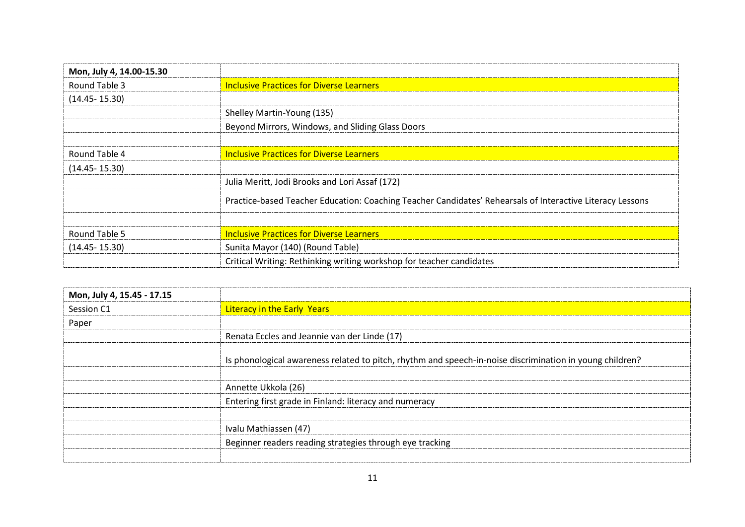| Mon, July 4, 14.00-15.30 |                                                                                                           |
|--------------------------|-----------------------------------------------------------------------------------------------------------|
| Round Table 3            | <b>Inclusive Practices for Diverse Learners</b>                                                           |
| $(14.45 - 15.30)$        |                                                                                                           |
|                          | Shelley Martin-Young (135)                                                                                |
|                          | Beyond Mirrors, Windows, and Sliding Glass Doors                                                          |
|                          |                                                                                                           |
| Round Table 4            | <b>Inclusive Practices for Diverse Learners</b>                                                           |
| $(14.45 - 15.30)$        |                                                                                                           |
|                          | Julia Meritt, Jodi Brooks and Lori Assaf (172)                                                            |
|                          | Practice-based Teacher Education: Coaching Teacher Candidates' Rehearsals of Interactive Literacy Lessons |
|                          |                                                                                                           |
| Round Table 5            | <b>Inclusive Practices for Diverse Learners</b>                                                           |
| $(14.45 - 15.30)$        | Sunita Mayor (140) (Round Table)                                                                          |
|                          | Critical Writing: Rethinking writing workshop for teacher candidates                                      |

| Mon, July 4, 15.45 - 17.15 |                                                                                                          |
|----------------------------|----------------------------------------------------------------------------------------------------------|
| Session C1                 | <b>Literacy in the Early Years</b>                                                                       |
| Paper                      |                                                                                                          |
|                            | Renata Eccles and Jeannie van der Linde (17)                                                             |
|                            | Is phonological awareness related to pitch, rhythm and speech-in-noise discrimination in young children? |
|                            |                                                                                                          |
|                            | Annette Ukkola (26)                                                                                      |
|                            | Entering first grade in Finland: literacy and numeracy                                                   |
|                            |                                                                                                          |
|                            | Ivalu Mathiassen (47)                                                                                    |
|                            | Beginner readers reading strategies through eye tracking                                                 |
|                            |                                                                                                          |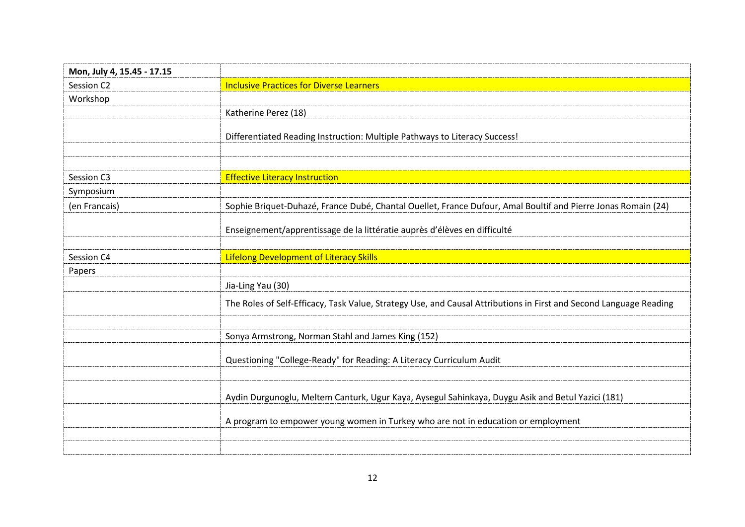| Mon, July 4, 15.45 - 17.15 |                                                                                                                    |
|----------------------------|--------------------------------------------------------------------------------------------------------------------|
| Session C2                 | <b>Inclusive Practices for Diverse Learners</b>                                                                    |
| Workshop                   |                                                                                                                    |
|                            | Katherine Perez (18)                                                                                               |
|                            | Differentiated Reading Instruction: Multiple Pathways to Literacy Success!                                         |
| Session C3                 | <b>Effective Literacy Instruction</b>                                                                              |
| Symposium                  |                                                                                                                    |
| (en Francais)              | Sophie Briquet-Duhazé, France Dubé, Chantal Ouellet, France Dufour, Amal Boultif and Pierre Jonas Romain (24)      |
|                            | Enseignement/apprentissage de la littératie auprès d'élèves en difficulté                                          |
| Session C4                 | <b>Lifelong Development of Literacy Skills</b>                                                                     |
| Papers                     |                                                                                                                    |
|                            | Jia-Ling Yau (30)                                                                                                  |
|                            | The Roles of Self-Efficacy, Task Value, Strategy Use, and Causal Attributions in First and Second Language Reading |
|                            | Sonya Armstrong, Norman Stahl and James King (152)                                                                 |
|                            | Questioning "College-Ready" for Reading: A Literacy Curriculum Audit                                               |
|                            | Aydin Durgunoglu, Meltem Canturk, Ugur Kaya, Aysegul Sahinkaya, Duygu Asik and Betul Yazici (181)                  |
|                            | A program to empower young women in Turkey who are not in education or employment                                  |
|                            |                                                                                                                    |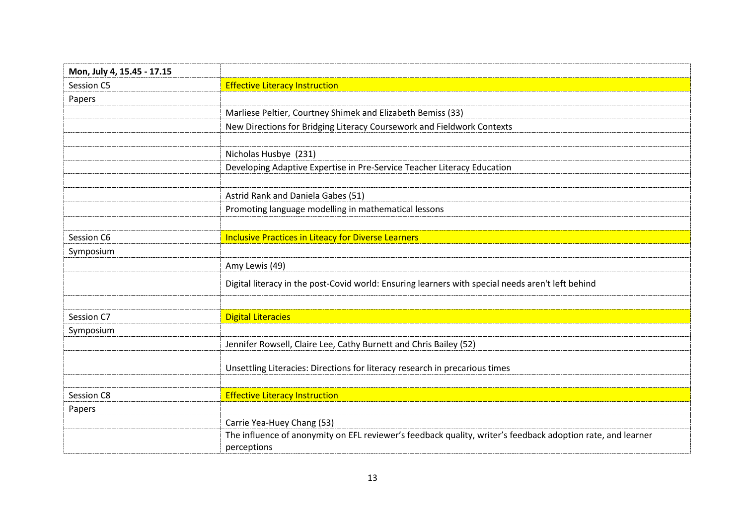| Mon, July 4, 15.45 - 17.15 |                                                                                                             |
|----------------------------|-------------------------------------------------------------------------------------------------------------|
| Session C5                 | <b>Effective Literacy Instruction</b>                                                                       |
| Papers                     |                                                                                                             |
|                            | Marliese Peltier, Courtney Shimek and Elizabeth Bemiss (33)                                                 |
|                            | New Directions for Bridging Literacy Coursework and Fieldwork Contexts                                      |
|                            |                                                                                                             |
|                            | Nicholas Husbye (231)                                                                                       |
|                            | Developing Adaptive Expertise in Pre-Service Teacher Literacy Education                                     |
|                            |                                                                                                             |
|                            | Astrid Rank and Daniela Gabes (51)                                                                          |
|                            | Promoting language modelling in mathematical lessons                                                        |
|                            |                                                                                                             |
| Session C6                 | <b>Inclusive Practices in Liteacy for Diverse Learners</b>                                                  |
| Symposium                  |                                                                                                             |
|                            | Amy Lewis (49)                                                                                              |
|                            | Digital literacy in the post-Covid world: Ensuring learners with special needs aren't left behind           |
|                            |                                                                                                             |
| Session C7                 | <b>Digital Literacies</b>                                                                                   |
| Symposium                  |                                                                                                             |
|                            | Jennifer Rowsell, Claire Lee, Cathy Burnett and Chris Bailey (52)                                           |
|                            | Unsettling Literacies: Directions for literacy research in precarious times                                 |
|                            |                                                                                                             |
| Session C8                 | <b>Effective Literacy Instruction</b>                                                                       |
| Papers                     |                                                                                                             |
|                            | Carrie Yea-Huey Chang (53)                                                                                  |
|                            | The influence of anonymity on EFL reviewer's feedback quality, writer's feedback adoption rate, and learner |
|                            | perceptions                                                                                                 |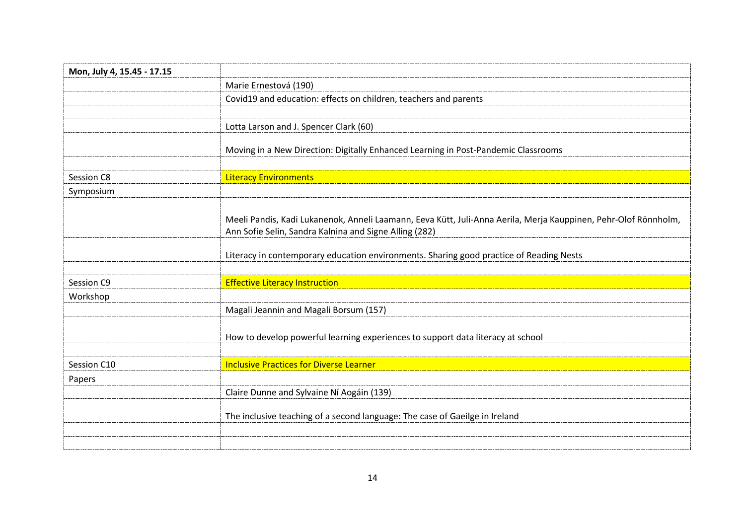| Mon, July 4, 15.45 - 17.15 |                                                                                                                                                                           |
|----------------------------|---------------------------------------------------------------------------------------------------------------------------------------------------------------------------|
|                            | Marie Ernestová (190)                                                                                                                                                     |
|                            | Covid19 and education: effects on children, teachers and parents                                                                                                          |
|                            |                                                                                                                                                                           |
|                            | Lotta Larson and J. Spencer Clark (60)                                                                                                                                    |
|                            | Moving in a New Direction: Digitally Enhanced Learning in Post-Pandemic Classrooms                                                                                        |
| Session C8                 | <b>Literacy Environments</b>                                                                                                                                              |
| Symposium                  |                                                                                                                                                                           |
|                            | Meeli Pandis, Kadi Lukanenok, Anneli Laamann, Eeva Kütt, Juli-Anna Aerila, Merja Kauppinen, Pehr-Olof Rönnholm,<br>Ann Sofie Selin, Sandra Kalnina and Signe Alling (282) |
|                            | Literacy in contemporary education environments. Sharing good practice of Reading Nests                                                                                   |
| Session C9                 | <b>Effective Literacy Instruction</b>                                                                                                                                     |
| Workshop                   |                                                                                                                                                                           |
|                            | Magali Jeannin and Magali Borsum (157)                                                                                                                                    |
|                            | How to develop powerful learning experiences to support data literacy at school                                                                                           |
| Session C10                | <b>Inclusive Practices for Diverse Learner</b>                                                                                                                            |
| Papers                     |                                                                                                                                                                           |
|                            | Claire Dunne and Sylvaine Ní Aogáin (139)                                                                                                                                 |
|                            | The inclusive teaching of a second language: The case of Gaeilge in Ireland                                                                                               |
|                            |                                                                                                                                                                           |
|                            |                                                                                                                                                                           |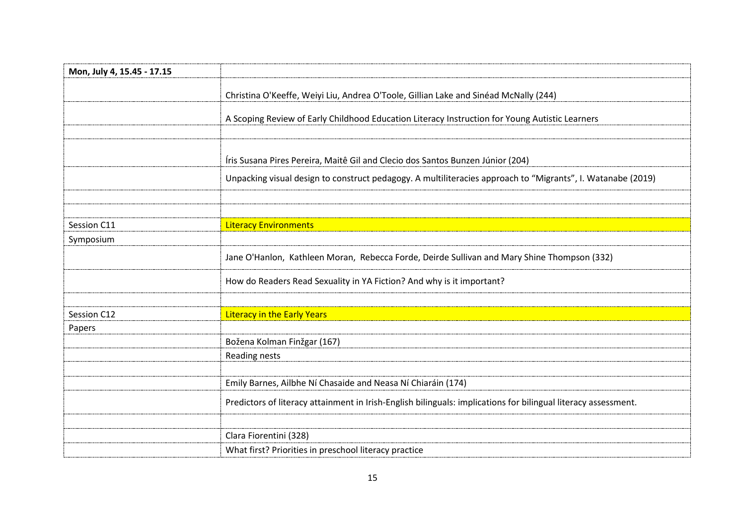| Mon, July 4, 15.45 - 17.15 |                                                                                                                |
|----------------------------|----------------------------------------------------------------------------------------------------------------|
|                            | Christina O'Keeffe, Weiyi Liu, Andrea O'Toole, Gillian Lake and Sinéad McNally (244)                           |
|                            |                                                                                                                |
|                            | A Scoping Review of Early Childhood Education Literacy Instruction for Young Autistic Learners                 |
|                            |                                                                                                                |
|                            | Íris Susana Pires Pereira, Maitê Gil and Clecio dos Santos Bunzen Júnior (204)                                 |
|                            | Unpacking visual design to construct pedagogy. A multiliteracies approach to "Migrants", I. Watanabe (2019)    |
|                            |                                                                                                                |
|                            |                                                                                                                |
| Session C11                | <b>Literacy Environments</b>                                                                                   |
| Symposium                  |                                                                                                                |
|                            | Jane O'Hanlon, Kathleen Moran, Rebecca Forde, Deirde Sullivan and Mary Shine Thompson (332)                    |
|                            | How do Readers Read Sexuality in YA Fiction? And why is it important?                                          |
|                            |                                                                                                                |
| Session C12                | <b>Literacy in the Early Years</b>                                                                             |
| Papers                     |                                                                                                                |
|                            | Božena Kolman Finžgar (167)                                                                                    |
|                            | Reading nests                                                                                                  |
|                            |                                                                                                                |
|                            | Emily Barnes, Ailbhe Ní Chasaide and Neasa Ní Chiaráin (174)                                                   |
|                            | Predictors of literacy attainment in Irish-English bilinguals: implications for bilingual literacy assessment. |
|                            |                                                                                                                |
|                            | Clara Fiorentini (328)                                                                                         |
|                            | What first? Priorities in preschool literacy practice                                                          |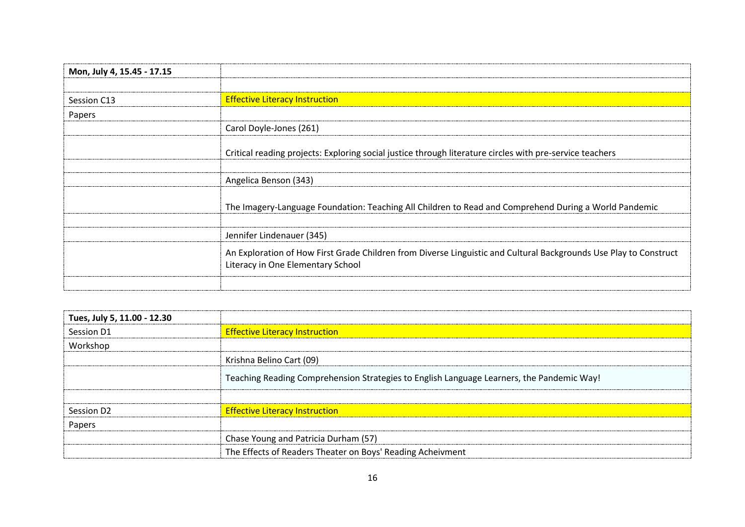| Mon, July 4, 15.45 - 17.15 |                                                                                                                                                        |
|----------------------------|--------------------------------------------------------------------------------------------------------------------------------------------------------|
|                            |                                                                                                                                                        |
| Session C13                | <b>Effective Literacy Instruction</b>                                                                                                                  |
| Papers                     |                                                                                                                                                        |
|                            | Carol Doyle-Jones (261)                                                                                                                                |
|                            | Critical reading projects: Exploring social justice through literature circles with pre-service teachers                                               |
|                            | Angelica Benson (343)                                                                                                                                  |
|                            | The Imagery-Language Foundation: Teaching All Children to Read and Comprehend During a World Pandemic                                                  |
|                            | Jennifer Lindenauer (345)                                                                                                                              |
|                            | An Exploration of How First Grade Children from Diverse Linguistic and Cultural Backgrounds Use Play to Construct<br>Literacy in One Elementary School |
|                            |                                                                                                                                                        |

| Tues, July 5, 11.00 - 12.30 |                                                                                           |
|-----------------------------|-------------------------------------------------------------------------------------------|
| Session D1                  | <b>Effective Literacy Instruction</b>                                                     |
| Workshop                    |                                                                                           |
|                             | Krishna Belino Cart (09)                                                                  |
|                             | Teaching Reading Comprehension Strategies to English Language Learners, the Pandemic Way! |
|                             |                                                                                           |
| Session D <sub>2</sub>      | <b>Effective Literacy Instruction</b>                                                     |
| Papers                      |                                                                                           |
|                             | Chase Young and Patricia Durham (57)                                                      |
|                             | The Effects of Readers Theater on Boys' Reading Acheivment                                |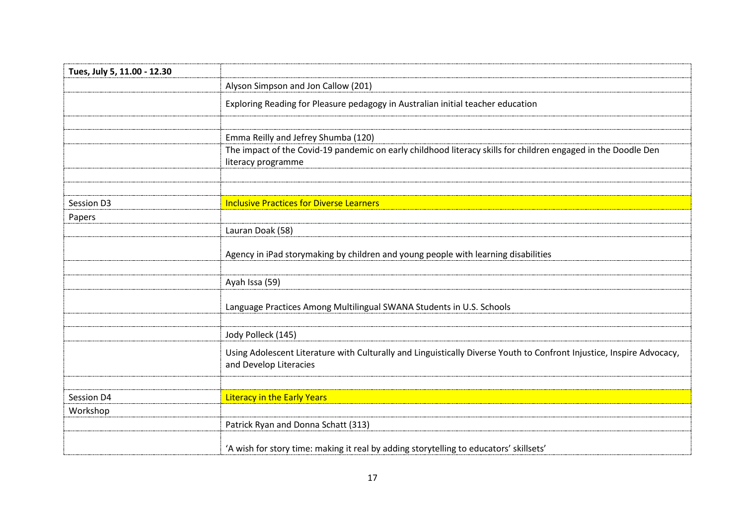| Tues, July 5, 11.00 - 12.30 |                                                                                                                                                                            |
|-----------------------------|----------------------------------------------------------------------------------------------------------------------------------------------------------------------------|
|                             | Alyson Simpson and Jon Callow (201)                                                                                                                                        |
|                             | Exploring Reading for Pleasure pedagogy in Australian initial teacher education                                                                                            |
|                             | Emma Reilly and Jefrey Shumba (120)<br>The impact of the Covid-19 pandemic on early childhood literacy skills for children engaged in the Doodle Den<br>literacy programme |
| Session D3                  | <b>Inclusive Practices for Diverse Learners</b>                                                                                                                            |
| Papers                      |                                                                                                                                                                            |
|                             | Lauran Doak (58)                                                                                                                                                           |
|                             | Agency in iPad storymaking by children and young people with learning disabilities                                                                                         |
|                             | Ayah Issa (59)                                                                                                                                                             |
|                             | Language Practices Among Multilingual SWANA Students in U.S. Schools                                                                                                       |
|                             | Jody Polleck (145)                                                                                                                                                         |
|                             | Using Adolescent Literature with Culturally and Linguistically Diverse Youth to Confront Injustice, Inspire Advocacy,<br>and Develop Literacies                            |
| Session D4                  | <b>Literacy in the Early Years</b>                                                                                                                                         |
| Workshop                    |                                                                                                                                                                            |
|                             | Patrick Ryan and Donna Schatt (313)                                                                                                                                        |
|                             | 'A wish for story time: making it real by adding storytelling to educators' skillsets'                                                                                     |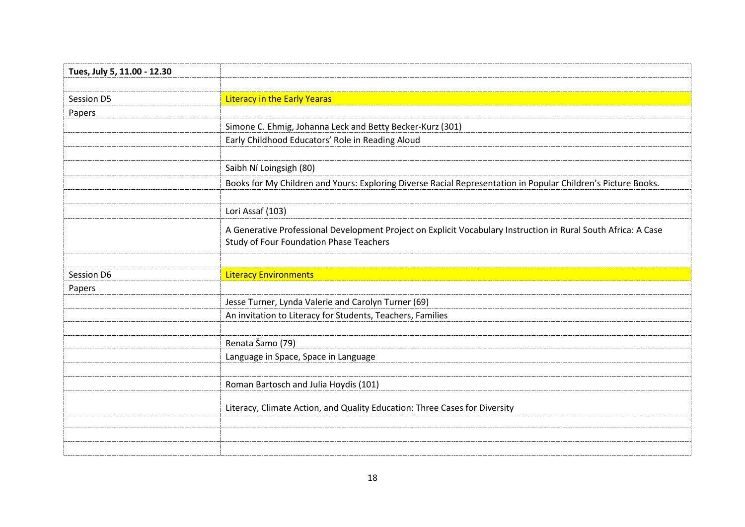| Tues, July 5, 11.00 - 12.30 |                                                                                                                |
|-----------------------------|----------------------------------------------------------------------------------------------------------------|
|                             |                                                                                                                |
| Session D5                  | <b>Literacy in the Early Yearas</b>                                                                            |
| Papers                      |                                                                                                                |
|                             | Simone C. Ehmig, Johanna Leck and Betty Becker-Kurz (301)                                                      |
|                             | Early Childhood Educators' Role in Reading Aloud                                                               |
|                             |                                                                                                                |
|                             | Saibh Ní Loingsigh (80)                                                                                        |
|                             | Books for My Children and Yours: Exploring Diverse Racial Representation in Popular Children's Picture Books.  |
|                             |                                                                                                                |
|                             | Lori Assaf (103)                                                                                               |
|                             | A Generative Professional Development Project on Explicit Vocabulary Instruction in Rural South Africa: A Case |
|                             | <b>Study of Four Foundation Phase Teachers</b>                                                                 |
|                             |                                                                                                                |
| Session D6                  | <b>Literacy Environments</b>                                                                                   |
| Papers                      |                                                                                                                |
|                             | Jesse Turner, Lynda Valerie and Carolyn Turner (69)                                                            |
|                             | An invitation to Literacy for Students, Teachers, Families                                                     |
|                             |                                                                                                                |
|                             | Renata Šamo (79)                                                                                               |
|                             | Language in Space, Space in Language                                                                           |
|                             |                                                                                                                |
|                             | Roman Bartosch and Julia Hoydis (101)                                                                          |
|                             | Literacy, Climate Action, and Quality Education: Three Cases for Diversity                                     |
|                             |                                                                                                                |
|                             |                                                                                                                |
|                             |                                                                                                                |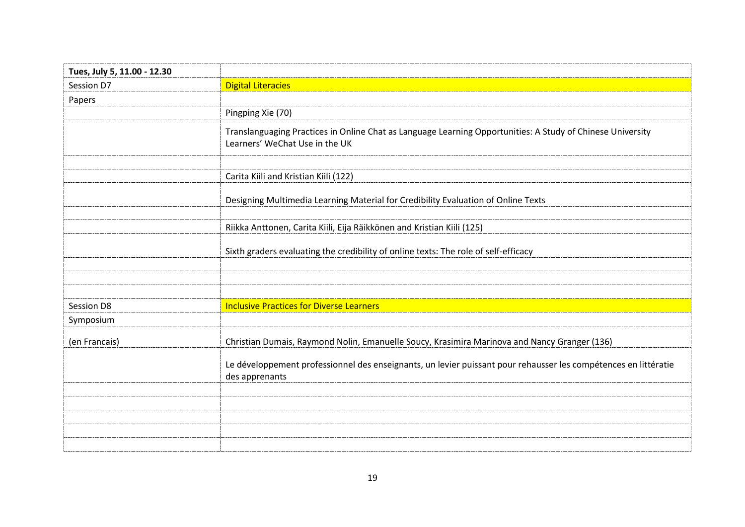| Tues, July 5, 11.00 - 12.30 |                                                                                                                                              |
|-----------------------------|----------------------------------------------------------------------------------------------------------------------------------------------|
| Session D7                  | <b>Digital Literacies</b>                                                                                                                    |
| Papers                      |                                                                                                                                              |
|                             | Pingping Xie (70)                                                                                                                            |
|                             | Translanguaging Practices in Online Chat as Language Learning Opportunities: A Study of Chinese University<br>Learners' WeChat Use in the UK |
|                             | Carita Kiili and Kristian Kiili (122)                                                                                                        |
|                             | Designing Multimedia Learning Material for Credibility Evaluation of Online Texts                                                            |
|                             | Riikka Anttonen, Carita Kiili, Eija Räikkönen and Kristian Kiili (125)                                                                       |
|                             | Sixth graders evaluating the credibility of online texts: The role of self-efficacy                                                          |
|                             |                                                                                                                                              |
| Session D8                  | <b>Inclusive Practices for Diverse Learners</b>                                                                                              |
| Symposium                   |                                                                                                                                              |
| (en Francais)               | Christian Dumais, Raymond Nolin, Emanuelle Soucy, Krasimira Marinova and Nancy Granger (136)                                                 |
|                             | Le développement professionnel des enseignants, un levier puissant pour rehausser les compétences en littératie<br>des apprenants            |
|                             |                                                                                                                                              |
|                             |                                                                                                                                              |
|                             |                                                                                                                                              |
|                             |                                                                                                                                              |
|                             |                                                                                                                                              |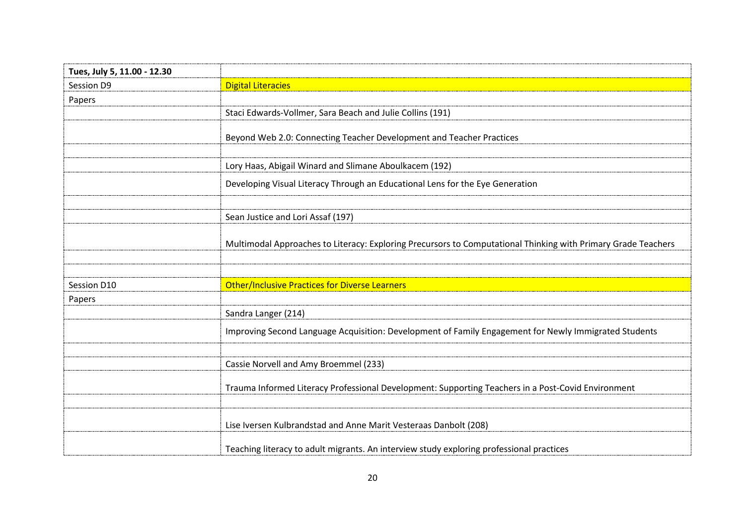| Tues, July 5, 11.00 - 12.30 |                                                                                                               |
|-----------------------------|---------------------------------------------------------------------------------------------------------------|
| Session D9                  | <b>Digital Literacies</b>                                                                                     |
| Papers                      |                                                                                                               |
|                             | Staci Edwards-Vollmer, Sara Beach and Julie Collins (191)                                                     |
|                             | Beyond Web 2.0: Connecting Teacher Development and Teacher Practices                                          |
|                             | Lory Haas, Abigail Winard and Slimane Aboulkacem (192)                                                        |
|                             | Developing Visual Literacy Through an Educational Lens for the Eye Generation                                 |
|                             | Sean Justice and Lori Assaf (197)                                                                             |
|                             | Multimodal Approaches to Literacy: Exploring Precursors to Computational Thinking with Primary Grade Teachers |
|                             |                                                                                                               |
| Session D10                 | <b>Other/Inclusive Practices for Diverse Learners</b>                                                         |
| Papers                      |                                                                                                               |
|                             | Sandra Langer (214)                                                                                           |
|                             | Improving Second Language Acquisition: Development of Family Engagement for Newly Immigrated Students         |
|                             | Cassie Norvell and Amy Broemmel (233)                                                                         |
|                             | Trauma Informed Literacy Professional Development: Supporting Teachers in a Post-Covid Environment            |
|                             | Lise Iversen Kulbrandstad and Anne Marit Vesteraas Danbolt (208)                                              |
|                             | Teaching literacy to adult migrants. An interview study exploring professional practices                      |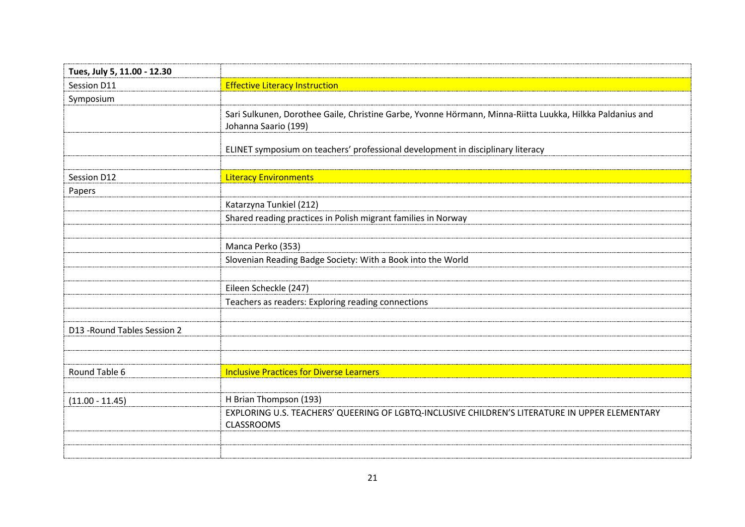| Tues, July 5, 11.00 - 12.30  |                                                                                                                                   |
|------------------------------|-----------------------------------------------------------------------------------------------------------------------------------|
| Session D11                  | <b>Effective Literacy Instruction</b>                                                                                             |
| Symposium                    |                                                                                                                                   |
|                              | Sari Sulkunen, Dorothee Gaile, Christine Garbe, Yvonne Hörmann, Minna-Riitta Luukka, Hilkka Paldanius and<br>Johanna Saario (199) |
|                              | ELINET symposium on teachers' professional development in disciplinary literacy                                                   |
| Session D12                  | <b>Literacy Environments</b>                                                                                                      |
| Papers                       |                                                                                                                                   |
|                              | Katarzyna Tunkiel (212)                                                                                                           |
|                              | Shared reading practices in Polish migrant families in Norway                                                                     |
|                              |                                                                                                                                   |
|                              | Manca Perko (353)                                                                                                                 |
|                              | Slovenian Reading Badge Society: With a Book into the World                                                                       |
|                              |                                                                                                                                   |
|                              | Eileen Scheckle (247)                                                                                                             |
|                              | Teachers as readers: Exploring reading connections                                                                                |
|                              |                                                                                                                                   |
| D13 - Round Tables Session 2 |                                                                                                                                   |
|                              |                                                                                                                                   |
|                              |                                                                                                                                   |
| Round Table 6                | <b>Inclusive Practices for Diverse Learners</b>                                                                                   |
|                              |                                                                                                                                   |
| $(11.00 - 11.45)$            | H Brian Thompson (193)                                                                                                            |
|                              | EXPLORING U.S. TEACHERS' QUEERING OF LGBTQ-INCLUSIVE CHILDREN'S LITERATURE IN UPPER ELEMENTARY<br><b>CLASSROOMS</b>               |
|                              |                                                                                                                                   |
|                              |                                                                                                                                   |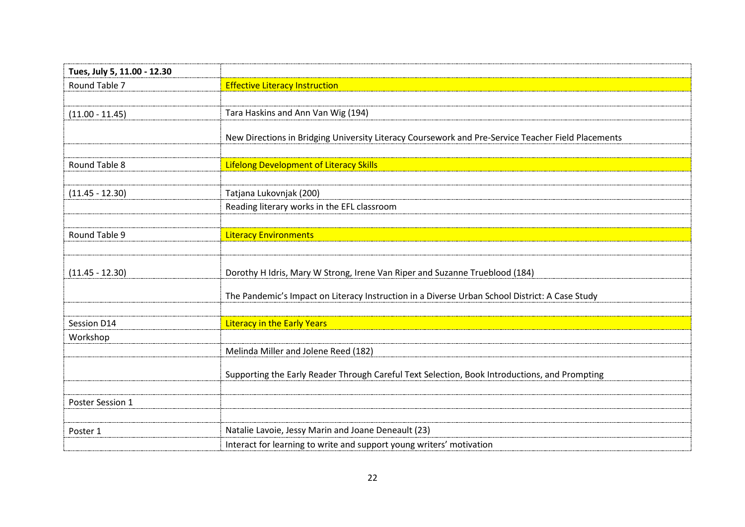| Tues, July 5, 11.00 - 12.30 |                                                                                                    |
|-----------------------------|----------------------------------------------------------------------------------------------------|
| Round Table 7               | <b>Effective Literacy Instruction</b>                                                              |
|                             |                                                                                                    |
| $(11.00 - 11.45)$           | Tara Haskins and Ann Van Wig (194)                                                                 |
|                             | New Directions in Bridging University Literacy Coursework and Pre-Service Teacher Field Placements |
| Round Table 8               | <b>Lifelong Development of Literacy Skills</b>                                                     |
| $(11.45 - 12.30)$           | Tatjana Lukovnjak (200)                                                                            |
|                             | Reading literary works in the EFL classroom                                                        |
|                             |                                                                                                    |
| Round Table 9               | <b>Literacy Environments</b>                                                                       |
|                             |                                                                                                    |
| $(11.45 - 12.30)$           | Dorothy H Idris, Mary W Strong, Irene Van Riper and Suzanne Trueblood (184)                        |
|                             | The Pandemic's Impact on Literacy Instruction in a Diverse Urban School District: A Case Study     |
|                             |                                                                                                    |
| Session D14                 | <b>Literacy in the Early Years</b>                                                                 |
| Workshop                    |                                                                                                    |
|                             | Melinda Miller and Jolene Reed (182)                                                               |
|                             | Supporting the Early Reader Through Careful Text Selection, Book Introductions, and Prompting      |
|                             |                                                                                                    |
| Poster Session 1            |                                                                                                    |
|                             |                                                                                                    |
| Poster 1                    | Natalie Lavoie, Jessy Marin and Joane Deneault (23)                                                |
|                             | Interact for learning to write and support young writers' motivation                               |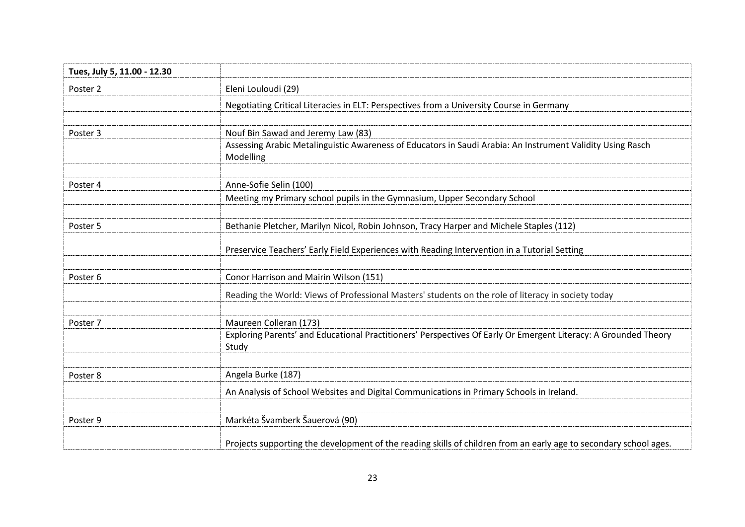| Tues, July 5, 11.00 - 12.30 |                                                                                                                          |
|-----------------------------|--------------------------------------------------------------------------------------------------------------------------|
| Poster 2                    | Eleni Louloudi (29)                                                                                                      |
|                             | Negotiating Critical Literacies in ELT: Perspectives from a University Course in Germany                                 |
| Poster 3                    | Nouf Bin Sawad and Jeremy Law (83)                                                                                       |
|                             | Assessing Arabic Metalinguistic Awareness of Educators in Saudi Arabia: An Instrument Validity Using Rasch<br>Modelling  |
| Poster 4                    | Anne-Sofie Selin (100)                                                                                                   |
|                             | Meeting my Primary school pupils in the Gymnasium, Upper Secondary School                                                |
| Poster 5                    | Bethanie Pletcher, Marilyn Nicol, Robin Johnson, Tracy Harper and Michele Staples (112)                                  |
|                             | Preservice Teachers' Early Field Experiences with Reading Intervention in a Tutorial Setting                             |
| Poster 6                    | Conor Harrison and Mairin Wilson (151)                                                                                   |
|                             | Reading the World: Views of Professional Masters' students on the role of literacy in society today                      |
| Poster 7                    | Maureen Colleran (173)                                                                                                   |
|                             | Exploring Parents' and Educational Practitioners' Perspectives Of Early Or Emergent Literacy: A Grounded Theory<br>Study |
| Poster 8                    | Angela Burke (187)                                                                                                       |
|                             | An Analysis of School Websites and Digital Communications in Primary Schools in Ireland.                                 |
| Poster 9                    | Markéta Švamberk Šauerová (90)                                                                                           |
|                             | Projects supporting the development of the reading skills of children from an early age to secondary school ages.        |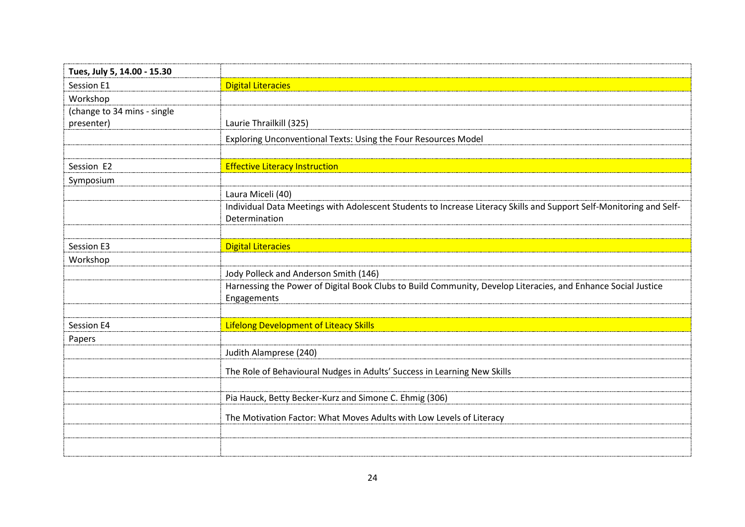| Tues, July 5, 14.00 - 15.30 |                                                                                                                              |
|-----------------------------|------------------------------------------------------------------------------------------------------------------------------|
| Session E1                  | <b>Digital Literacies</b>                                                                                                    |
| Workshop                    |                                                                                                                              |
| (change to 34 mins - single |                                                                                                                              |
| presenter)                  | Laurie Thrailkill (325)                                                                                                      |
|                             | Exploring Unconventional Texts: Using the Four Resources Model                                                               |
|                             |                                                                                                                              |
| Session E2                  | <b>Effective Literacy Instruction</b>                                                                                        |
| Symposium                   |                                                                                                                              |
|                             | Laura Miceli (40)                                                                                                            |
|                             | Individual Data Meetings with Adolescent Students to Increase Literacy Skills and Support Self-Monitoring and Self-          |
|                             | Determination                                                                                                                |
|                             |                                                                                                                              |
| Session E3                  | <b>Digital Literacies</b>                                                                                                    |
| Workshop                    |                                                                                                                              |
|                             | Jody Polleck and Anderson Smith (146)                                                                                        |
|                             | Harnessing the Power of Digital Book Clubs to Build Community, Develop Literacies, and Enhance Social Justice<br>Engagements |
|                             |                                                                                                                              |
| Session E4                  | <b>Lifelong Development of Liteacy Skills</b>                                                                                |
| Papers                      |                                                                                                                              |
|                             | Judith Alamprese (240)                                                                                                       |
|                             | The Role of Behavioural Nudges in Adults' Success in Learning New Skills                                                     |
|                             |                                                                                                                              |
|                             | Pia Hauck, Betty Becker-Kurz and Simone C. Ehmig (306)                                                                       |
|                             | The Motivation Factor: What Moves Adults with Low Levels of Literacy                                                         |
|                             |                                                                                                                              |
|                             |                                                                                                                              |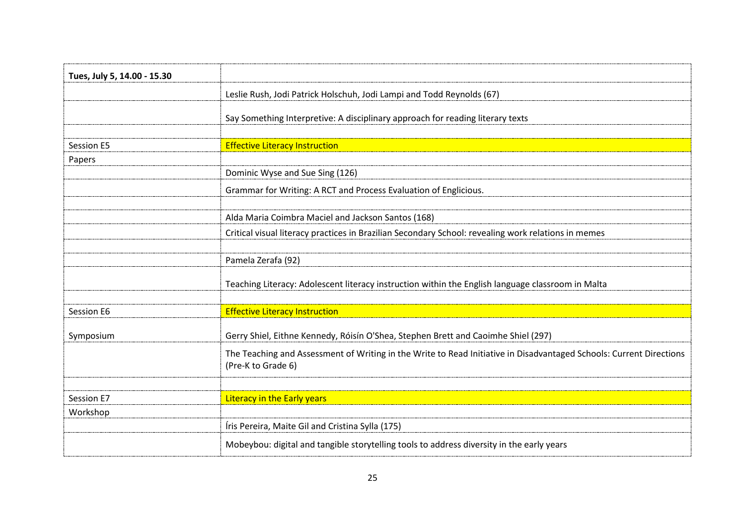| Tues, July 5, 14.00 - 15.30 |                                                                                                                                           |
|-----------------------------|-------------------------------------------------------------------------------------------------------------------------------------------|
|                             | Leslie Rush, Jodi Patrick Holschuh, Jodi Lampi and Todd Reynolds (67)                                                                     |
|                             | Say Something Interpretive: A disciplinary approach for reading literary texts                                                            |
| Session E5                  | <b>Effective Literacy Instruction</b>                                                                                                     |
| Papers                      |                                                                                                                                           |
|                             | Dominic Wyse and Sue Sing (126)                                                                                                           |
|                             | Grammar for Writing: A RCT and Process Evaluation of Englicious.                                                                          |
|                             | Alda Maria Coimbra Maciel and Jackson Santos (168)                                                                                        |
|                             | Critical visual literacy practices in Brazilian Secondary School: revealing work relations in memes                                       |
|                             | Pamela Zerafa (92)                                                                                                                        |
|                             | Teaching Literacy: Adolescent literacy instruction within the English language classroom in Malta                                         |
|                             |                                                                                                                                           |
| Session E6                  | <b>Effective Literacy Instruction</b>                                                                                                     |
| Symposium                   | Gerry Shiel, Eithne Kennedy, Róisín O'Shea, Stephen Brett and Caoimhe Shiel (297)                                                         |
|                             | The Teaching and Assessment of Writing in the Write to Read Initiative in Disadvantaged Schools: Current Directions<br>(Pre-K to Grade 6) |
|                             |                                                                                                                                           |
| Session E7                  | <b>Literacy in the Early years</b>                                                                                                        |
| Workshop                    |                                                                                                                                           |
|                             | Íris Pereira, Maite Gil and Cristina Sylla (175)                                                                                          |
|                             | Mobeybou: digital and tangible storytelling tools to address diversity in the early years                                                 |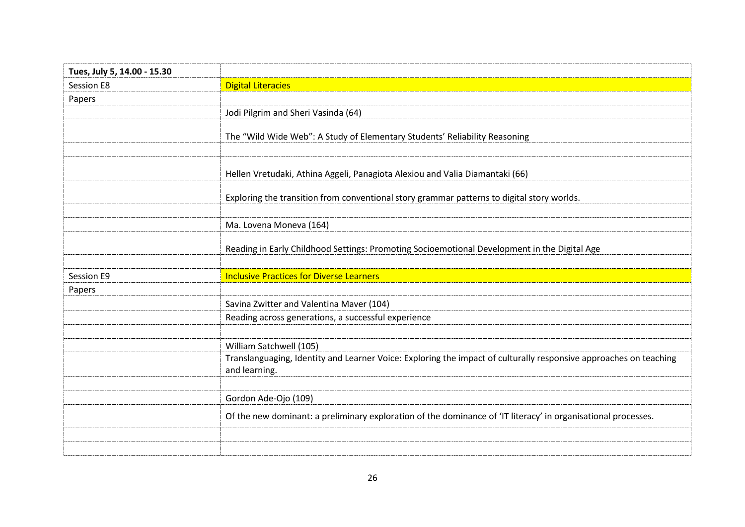| Tues, July 5, 14.00 - 15.30 |                                                                                                                                    |
|-----------------------------|------------------------------------------------------------------------------------------------------------------------------------|
| Session E8                  | <b>Digital Literacies</b>                                                                                                          |
| Papers                      |                                                                                                                                    |
|                             | Jodi Pilgrim and Sheri Vasinda (64)                                                                                                |
|                             | The "Wild Wide Web": A Study of Elementary Students' Reliability Reasoning                                                         |
|                             | Hellen Vretudaki, Athina Aggeli, Panagiota Alexiou and Valia Diamantaki (66)                                                       |
|                             | Exploring the transition from conventional story grammar patterns to digital story worlds.                                         |
|                             | Ma. Lovena Moneva (164)                                                                                                            |
|                             | Reading in Early Childhood Settings: Promoting Socioemotional Development in the Digital Age                                       |
|                             |                                                                                                                                    |
| Session E9                  | <b>Inclusive Practices for Diverse Learners</b>                                                                                    |
| Papers                      |                                                                                                                                    |
|                             | Savina Zwitter and Valentina Maver (104)                                                                                           |
|                             | Reading across generations, a successful experience                                                                                |
|                             | William Satchwell (105)                                                                                                            |
|                             | Translanguaging, Identity and Learner Voice: Exploring the impact of culturally responsive approaches on teaching<br>and learning. |
|                             | Gordon Ade-Ojo (109)                                                                                                               |
|                             | Of the new dominant: a preliminary exploration of the dominance of 'IT literacy' in organisational processes.                      |
|                             |                                                                                                                                    |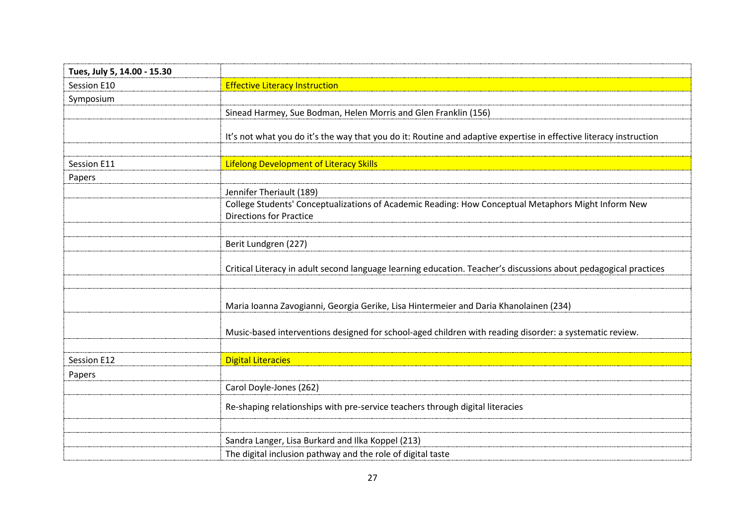| Tues, July 5, 14.00 - 15.30 |                                                                                                                                       |
|-----------------------------|---------------------------------------------------------------------------------------------------------------------------------------|
| Session E10                 | <b>Effective Literacy Instruction</b>                                                                                                 |
| Symposium                   |                                                                                                                                       |
|                             | Sinead Harmey, Sue Bodman, Helen Morris and Glen Franklin (156)                                                                       |
|                             | It's not what you do it's the way that you do it: Routine and adaptive expertise in effective literacy instruction                    |
| Session E11                 | Lifelong Development of Literacy Skills                                                                                               |
| Papers                      |                                                                                                                                       |
|                             | Jennifer Theriault (189)                                                                                                              |
|                             | College Students' Conceptualizations of Academic Reading: How Conceptual Metaphors Might Inform New<br><b>Directions for Practice</b> |
|                             | Berit Lundgren (227)                                                                                                                  |
|                             | Critical Literacy in adult second language learning education. Teacher's discussions about pedagogical practices                      |
|                             | Maria Ioanna Zavogianni, Georgia Gerike, Lisa Hintermeier and Daria Khanolainen (234)                                                 |
|                             | Music-based interventions designed for school-aged children with reading disorder: a systematic review.                               |
| Session E12                 | <b>Digital Literacies</b>                                                                                                             |
| Papers                      |                                                                                                                                       |
|                             | Carol Doyle-Jones (262)                                                                                                               |
|                             | Re-shaping relationships with pre-service teachers through digital literacies                                                         |
|                             | Sandra Langer, Lisa Burkard and Ilka Koppel (213)                                                                                     |
|                             | The digital inclusion pathway and the role of digital taste                                                                           |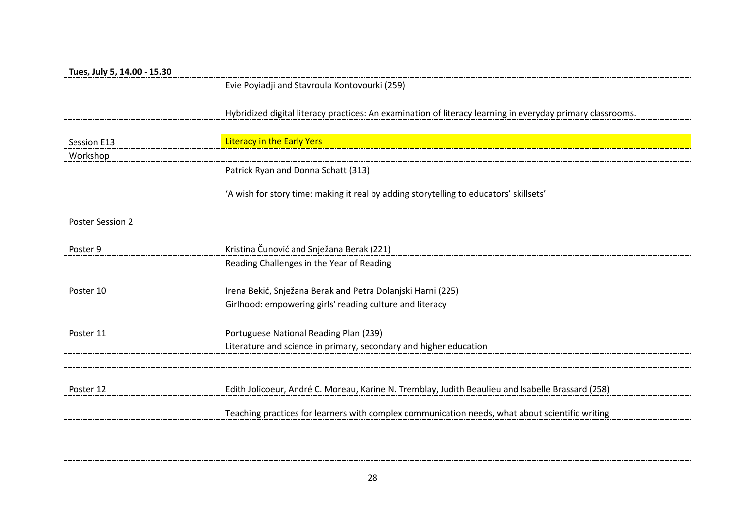| Tues, July 5, 14.00 - 15.30 |                                                                                                            |
|-----------------------------|------------------------------------------------------------------------------------------------------------|
|                             | Evie Poyiadji and Stavroula Kontovourki (259)                                                              |
|                             |                                                                                                            |
|                             | Hybridized digital literacy practices: An examination of literacy learning in everyday primary classrooms. |
|                             |                                                                                                            |
| Session E13                 | <b>Literacy in the Early Yers</b>                                                                          |
| Workshop                    |                                                                                                            |
|                             | Patrick Ryan and Donna Schatt (313)                                                                        |
|                             | 'A wish for story time: making it real by adding storytelling to educators' skillsets'                     |
| Poster Session 2            |                                                                                                            |
|                             |                                                                                                            |
| Poster 9                    | Kristina Čunović and Snježana Berak (221)                                                                  |
|                             | Reading Challenges in the Year of Reading                                                                  |
| Poster 10                   | Irena Bekić, Snježana Berak and Petra Dolanjski Harni (225)                                                |
|                             | Girlhood: empowering girls' reading culture and literacy                                                   |
| Poster 11                   | Portuguese National Reading Plan (239)                                                                     |
|                             | Literature and science in primary, secondary and higher education                                          |
|                             |                                                                                                            |
| Poster 12                   | Edith Jolicoeur, André C. Moreau, Karine N. Tremblay, Judith Beaulieu and Isabelle Brassard (258)          |
|                             | Teaching practices for learners with complex communication needs, what about scientific writing            |
|                             |                                                                                                            |
|                             |                                                                                                            |
|                             |                                                                                                            |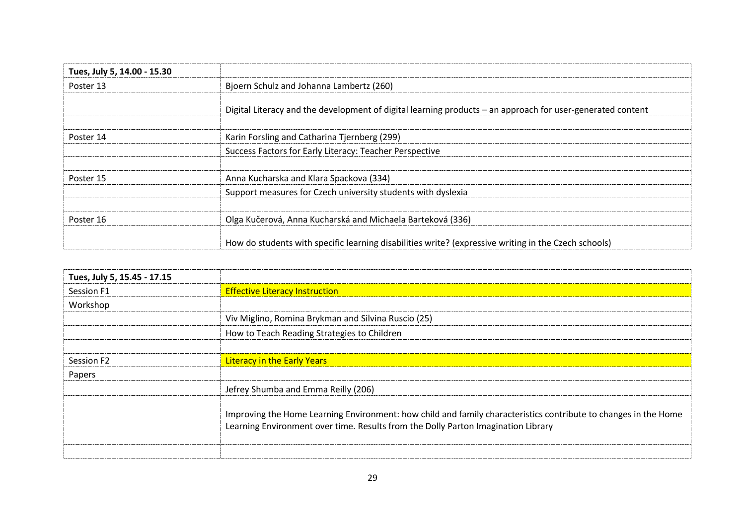| Tues, July 5, 14.00 - 15.30 |                                                                                                            |
|-----------------------------|------------------------------------------------------------------------------------------------------------|
| Poster 13                   | Bjoern Schulz and Johanna Lambertz (260)                                                                   |
|                             | Digital Literacy and the development of digital learning products - an approach for user-generated content |
| Poster 14                   | Karin Forsling and Catharina Tjernberg (299)                                                               |
|                             | Success Factors for Early Literacy: Teacher Perspective                                                    |
|                             |                                                                                                            |
| Poster 15                   | Anna Kucharska and Klara Spackova (334)                                                                    |
|                             | Support measures for Czech university students with dyslexia                                               |
|                             |                                                                                                            |
| Poster 16                   | Olga Kučerová, Anna Kucharská and Michaela Barteková (336)                                                 |
|                             | How do students with specific learning disabilities write? (expressive writing in the Czech schools)       |

| Tues, July 5, 15.45 - 17.15 |                                                                                                                                                                                                      |
|-----------------------------|------------------------------------------------------------------------------------------------------------------------------------------------------------------------------------------------------|
| Session F1                  | <b>Effective Literacy Instruction</b>                                                                                                                                                                |
| Workshop                    |                                                                                                                                                                                                      |
|                             | Viv Miglino, Romina Brykman and Silvina Ruscio (25)                                                                                                                                                  |
|                             | How to Teach Reading Strategies to Children                                                                                                                                                          |
|                             |                                                                                                                                                                                                      |
| Session F2                  | <b>Literacy in the Early Years</b>                                                                                                                                                                   |
| Papers                      |                                                                                                                                                                                                      |
|                             | Jefrey Shumba and Emma Reilly (206)                                                                                                                                                                  |
|                             | Improving the Home Learning Environment: how child and family characteristics contribute to changes in the Home<br>Learning Environment over time. Results from the Dolly Parton Imagination Library |
|                             |                                                                                                                                                                                                      |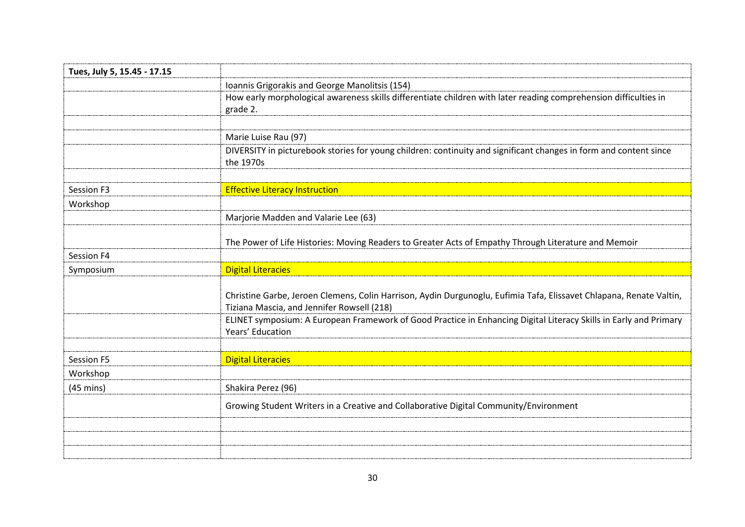| Tues, July 5, 15.45 - 17.15 |                                                                                                                                                                   |
|-----------------------------|-------------------------------------------------------------------------------------------------------------------------------------------------------------------|
|                             | Ioannis Grigorakis and George Manolitsis (154)                                                                                                                    |
|                             | How early morphological awareness skills differentiate children with later reading comprehension difficulties in<br>grade 2.                                      |
|                             |                                                                                                                                                                   |
|                             | Marie Luise Rau (97)                                                                                                                                              |
|                             | DIVERSITY in picturebook stories for young children: continuity and significant changes in form and content since<br>the 1970s                                    |
| Session F3                  | <b>Effective Literacy Instruction</b>                                                                                                                             |
| Workshop                    |                                                                                                                                                                   |
|                             | Marjorie Madden and Valarie Lee (63)                                                                                                                              |
|                             |                                                                                                                                                                   |
|                             | The Power of Life Histories: Moving Readers to Greater Acts of Empathy Through Literature and Memoir                                                              |
| Session F4                  |                                                                                                                                                                   |
| Symposium                   | <b>Digital Literacies</b>                                                                                                                                         |
|                             | Christine Garbe, Jeroen Clemens, Colin Harrison, Aydin Durgunoglu, Eufimia Tafa, Elissavet Chlapana, Renate Valtin,<br>Tiziana Mascia, and Jennifer Rowsell (218) |
|                             | ELINET symposium: A European Framework of Good Practice in Enhancing Digital Literacy Skills in Early and Primary                                                 |
|                             | Years' Education                                                                                                                                                  |
|                             |                                                                                                                                                                   |
| Session F5                  | <b>Digital Literacies</b>                                                                                                                                         |
| Workshop                    |                                                                                                                                                                   |
| $(45 \text{ mins})$         | Shakira Perez (96)                                                                                                                                                |
|                             | Growing Student Writers in a Creative and Collaborative Digital Community/Environment                                                                             |
|                             |                                                                                                                                                                   |
|                             |                                                                                                                                                                   |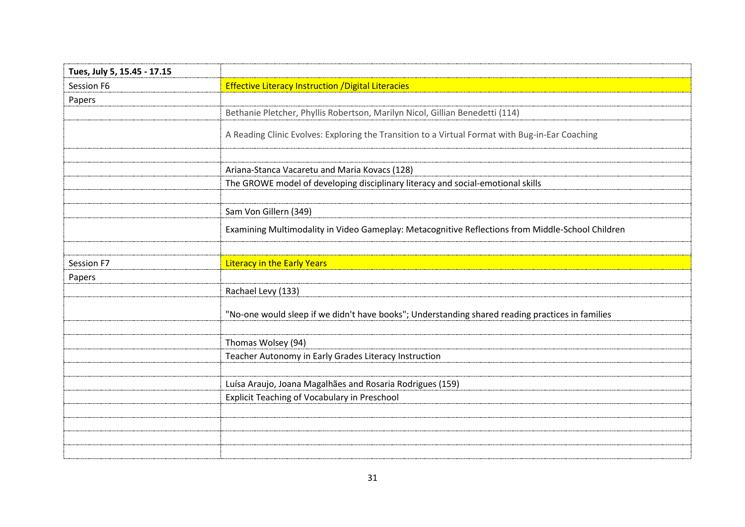| Tues, July 5, 15.45 - 17.15 |                                                                                                  |
|-----------------------------|--------------------------------------------------------------------------------------------------|
| Session F6                  | <b>Effective Literacy Instruction / Digital Literacies</b>                                       |
| Papers                      |                                                                                                  |
|                             | Bethanie Pletcher, Phyllis Robertson, Marilyn Nicol, Gillian Benedetti (114)                     |
|                             | A Reading Clinic Evolves: Exploring the Transition to a Virtual Format with Bug-in-Ear Coaching  |
|                             | Ariana-Stanca Vacaretu and Maria Kovacs (128)                                                    |
|                             | The GROWE model of developing disciplinary literacy and social-emotional skills                  |
|                             |                                                                                                  |
|                             | Sam Von Gillern (349)                                                                            |
|                             | Examining Multimodality in Video Gameplay: Metacognitive Reflections from Middle-School Children |
|                             |                                                                                                  |
| Session F7                  | <b>Literacy in the Early Years</b>                                                               |
| Papers                      |                                                                                                  |
|                             | Rachael Levy (133)                                                                               |
|                             | "No-one would sleep if we didn't have books"; Understanding shared reading practices in families |
|                             |                                                                                                  |
|                             | Thomas Wolsey (94)                                                                               |
|                             | Teacher Autonomy in Early Grades Literacy Instruction                                            |
|                             |                                                                                                  |
|                             | Luísa Araujo, Joana Magalhães and Rosaria Rodrigues (159)                                        |
|                             |                                                                                                  |
|                             | <b>Explicit Teaching of Vocabulary in Preschool</b>                                              |
|                             |                                                                                                  |
|                             |                                                                                                  |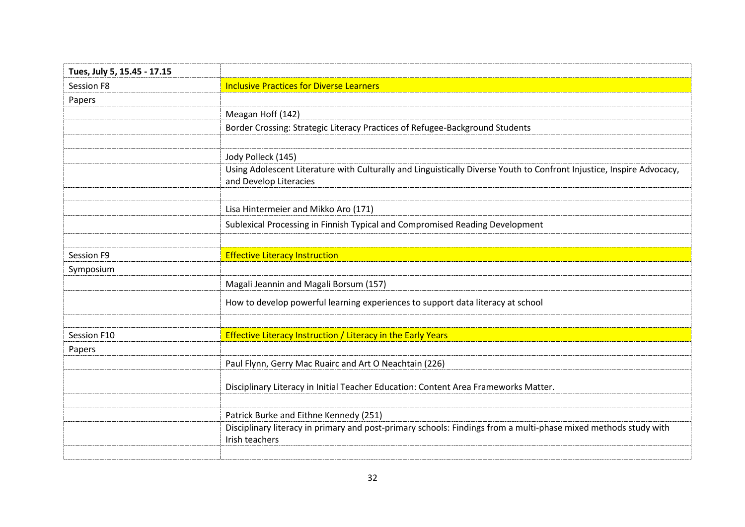| Tues, July 5, 15.45 - 17.15 |                                                                                                                                                 |
|-----------------------------|-------------------------------------------------------------------------------------------------------------------------------------------------|
| <b>Session F8</b>           | <b>Inclusive Practices for Diverse Learners</b>                                                                                                 |
| Papers                      |                                                                                                                                                 |
|                             | Meagan Hoff (142)                                                                                                                               |
|                             | Border Crossing: Strategic Literacy Practices of Refugee-Background Students                                                                    |
|                             |                                                                                                                                                 |
|                             | Jody Polleck (145)                                                                                                                              |
|                             | Using Adolescent Literature with Culturally and Linguistically Diverse Youth to Confront Injustice, Inspire Advocacy,<br>and Develop Literacies |
|                             |                                                                                                                                                 |
|                             | Lisa Hintermeier and Mikko Aro (171)                                                                                                            |
|                             | Sublexical Processing in Finnish Typical and Compromised Reading Development                                                                    |
|                             |                                                                                                                                                 |
| Session F9                  | <b>Effective Literacy Instruction</b>                                                                                                           |
| Symposium                   |                                                                                                                                                 |
|                             | Magali Jeannin and Magali Borsum (157)                                                                                                          |
|                             | How to develop powerful learning experiences to support data literacy at school                                                                 |
|                             |                                                                                                                                                 |
| Session F10                 | <b>Effective Literacy Instruction / Literacy in the Early Years</b>                                                                             |
| Papers                      |                                                                                                                                                 |
|                             | Paul Flynn, Gerry Mac Ruairc and Art O Neachtain (226)                                                                                          |
|                             | Disciplinary Literacy in Initial Teacher Education: Content Area Frameworks Matter.                                                             |
|                             | Patrick Burke and Eithne Kennedy (251)                                                                                                          |
|                             | Disciplinary literacy in primary and post-primary schools: Findings from a multi-phase mixed methods study with<br>Irish teachers               |
|                             |                                                                                                                                                 |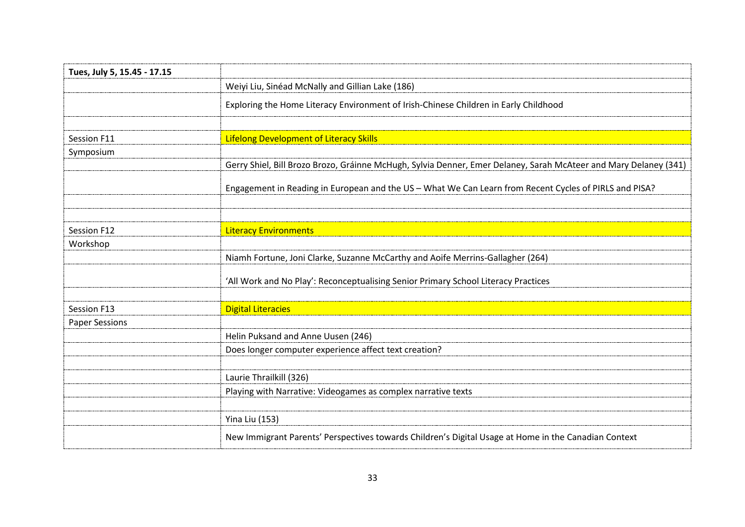| Tues, July 5, 15.45 - 17.15 |                                                                                                                  |
|-----------------------------|------------------------------------------------------------------------------------------------------------------|
|                             | Weiyi Liu, Sinéad McNally and Gillian Lake (186)                                                                 |
|                             | Exploring the Home Literacy Environment of Irish-Chinese Children in Early Childhood                             |
|                             |                                                                                                                  |
| Session F11                 | <b>Lifelong Development of Literacy Skills</b>                                                                   |
| Symposium                   | Gerry Shiel, Bill Brozo Brozo, Gráinne McHugh, Sylvia Denner, Emer Delaney, Sarah McAteer and Mary Delaney (341) |
|                             |                                                                                                                  |
|                             | Engagement in Reading in European and the US - What We Can Learn from Recent Cycles of PIRLS and PISA?           |
|                             |                                                                                                                  |
| Session F12                 | <b>Literacy Environments</b>                                                                                     |
| Workshop                    |                                                                                                                  |
|                             | Niamh Fortune, Joni Clarke, Suzanne McCarthy and Aoife Merrins-Gallagher (264)                                   |
|                             | 'All Work and No Play': Reconceptualising Senior Primary School Literacy Practices                               |
| Session F13                 | <b>Digital Literacies</b>                                                                                        |
| <b>Paper Sessions</b>       |                                                                                                                  |
|                             | Helin Puksand and Anne Uusen (246)                                                                               |
|                             | Does longer computer experience affect text creation?                                                            |
|                             | Laurie Thrailkill (326)                                                                                          |
|                             | Playing with Narrative: Videogames as complex narrative texts                                                    |
|                             | <b>Yina Liu (153)</b>                                                                                            |
|                             | New Immigrant Parents' Perspectives towards Children's Digital Usage at Home in the Canadian Context             |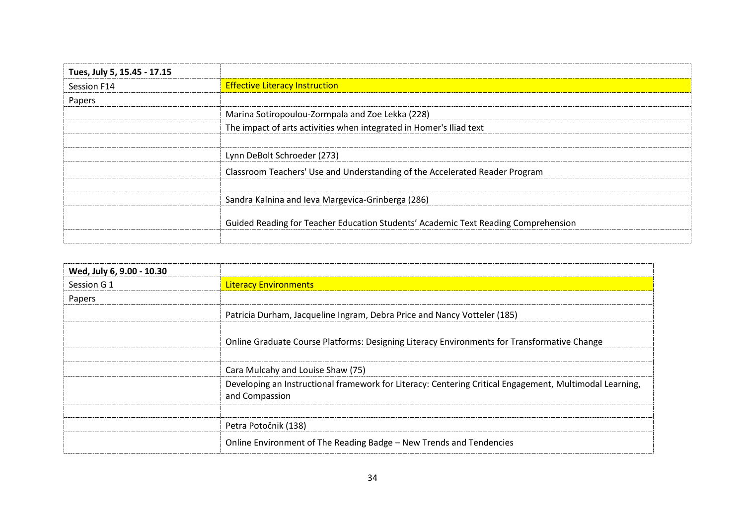| Tues, July 5, 15.45 - 17.15 |                                                                                    |
|-----------------------------|------------------------------------------------------------------------------------|
| Session F14                 | <b>Effective Literacy Instruction</b>                                              |
| Papers                      |                                                                                    |
|                             | Marina Sotiropoulou-Zormpala and Zoe Lekka (228)                                   |
|                             | The impact of arts activities when integrated in Homer's Iliad text                |
|                             | Lynn DeBolt Schroeder (273)                                                        |
|                             | Classroom Teachers' Use and Understanding of the Accelerated Reader Program        |
|                             | Sandra Kalnina and Ieva Margevica-Grinberga (286)                                  |
|                             | Guided Reading for Teacher Education Students' Academic Text Reading Comprehension |

| Wed, July 6, 9.00 - 10.30 |                                                                                                                           |
|---------------------------|---------------------------------------------------------------------------------------------------------------------------|
| Session G 1               | <b>Literacy Environments</b>                                                                                              |
| Papers                    |                                                                                                                           |
|                           | Patricia Durham, Jacqueline Ingram, Debra Price and Nancy Votteler (185)                                                  |
|                           | Online Graduate Course Platforms: Designing Literacy Environments for Transformative Change                               |
|                           |                                                                                                                           |
|                           | Cara Mulcahy and Louise Shaw (75)                                                                                         |
|                           | Developing an Instructional framework for Literacy: Centering Critical Engagement, Multimodal Learning,<br>and Compassion |
|                           |                                                                                                                           |
|                           | Petra Potočnik (138)                                                                                                      |
|                           | Online Environment of The Reading Badge - New Trends and Tendencies                                                       |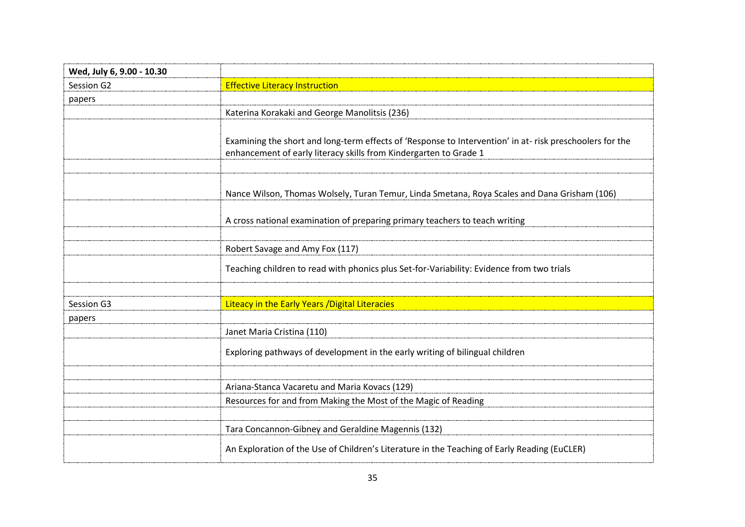| Wed, July 6, 9.00 - 10.30 |                                                                                                                                                                               |
|---------------------------|-------------------------------------------------------------------------------------------------------------------------------------------------------------------------------|
| Session G2                | <b>Effective Literacy Instruction</b>                                                                                                                                         |
| papers                    |                                                                                                                                                                               |
|                           | Katerina Korakaki and George Manolitsis (236)                                                                                                                                 |
|                           | Examining the short and long-term effects of 'Response to Intervention' in at- risk preschoolers for the<br>enhancement of early literacy skills from Kindergarten to Grade 1 |
|                           |                                                                                                                                                                               |
|                           | Nance Wilson, Thomas Wolsely, Turan Temur, Linda Smetana, Roya Scales and Dana Grisham (106)                                                                                  |
|                           | A cross national examination of preparing primary teachers to teach writing                                                                                                   |
|                           |                                                                                                                                                                               |
|                           | Robert Savage and Amy Fox (117)                                                                                                                                               |
|                           | Teaching children to read with phonics plus Set-for-Variability: Evidence from two trials                                                                                     |
|                           |                                                                                                                                                                               |
| Session G3                | Liteacy in the Early Years / Digital Literacies                                                                                                                               |
| papers                    |                                                                                                                                                                               |
|                           | Janet Maria Cristina (110)                                                                                                                                                    |
|                           | Exploring pathways of development in the early writing of bilingual children                                                                                                  |
|                           |                                                                                                                                                                               |
|                           | Ariana-Stanca Vacaretu and Maria Kovacs (129)                                                                                                                                 |
|                           | Resources for and from Making the Most of the Magic of Reading                                                                                                                |
|                           |                                                                                                                                                                               |
|                           | Tara Concannon-Gibney and Geraldine Magennis (132)                                                                                                                            |
|                           | An Exploration of the Use of Children's Literature in the Teaching of Early Reading (EuCLER)                                                                                  |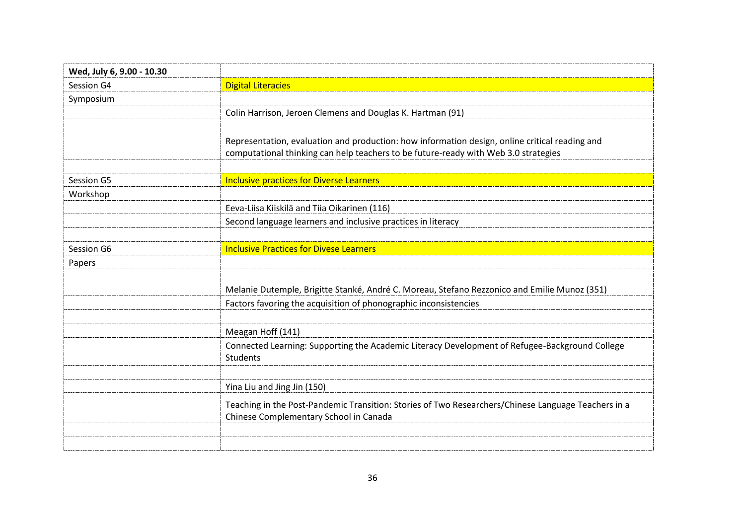| Wed, July 6, 9.00 - 10.30 |                                                                                                                                                                                       |
|---------------------------|---------------------------------------------------------------------------------------------------------------------------------------------------------------------------------------|
| Session G4                | <b>Digital Literacies</b>                                                                                                                                                             |
| Symposium                 |                                                                                                                                                                                       |
|                           | Colin Harrison, Jeroen Clemens and Douglas K. Hartman (91)                                                                                                                            |
|                           | Representation, evaluation and production: how information design, online critical reading and<br>computational thinking can help teachers to be future-ready with Web 3.0 strategies |
| Session G5                | <b>Inclusive practices for Diverse Learners</b>                                                                                                                                       |
| Workshop                  |                                                                                                                                                                                       |
|                           | Eeva-Liisa Kiiskilä and Tiia Oikarinen (116)                                                                                                                                          |
|                           | Second language learners and inclusive practices in literacy                                                                                                                          |
|                           |                                                                                                                                                                                       |
| Session G6                | <b>Inclusive Practices for Divese Learners</b>                                                                                                                                        |
| Papers                    |                                                                                                                                                                                       |
|                           | Melanie Dutemple, Brigitte Stanké, André C. Moreau, Stefano Rezzonico and Emilie Munoz (351)<br>Factors favoring the acquisition of phonographic inconsistencies                      |
|                           |                                                                                                                                                                                       |
|                           | Meagan Hoff (141)                                                                                                                                                                     |
|                           | Connected Learning: Supporting the Academic Literacy Development of Refugee-Background College<br><b>Students</b>                                                                     |
|                           |                                                                                                                                                                                       |
|                           | Yina Liu and Jing Jin (150)                                                                                                                                                           |
|                           | Teaching in the Post-Pandemic Transition: Stories of Two Researchers/Chinese Language Teachers in a<br>Chinese Complementary School in Canada                                         |
|                           |                                                                                                                                                                                       |
|                           |                                                                                                                                                                                       |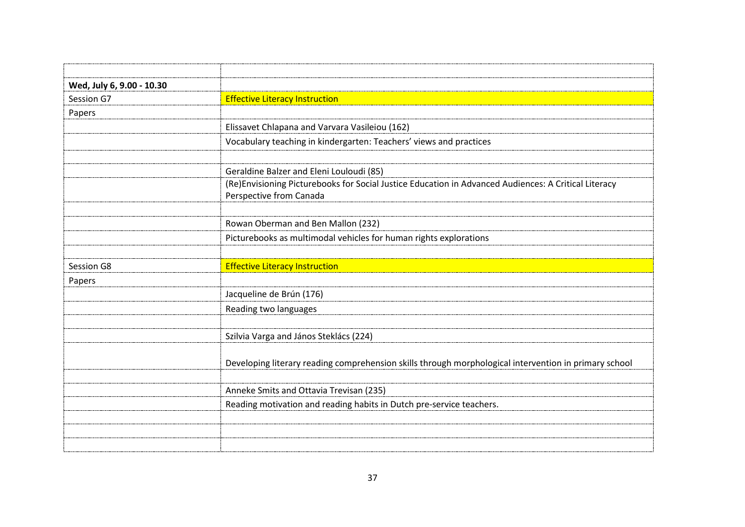| Wed, July 6, 9.00 - 10.30 |                                                                                                                                 |
|---------------------------|---------------------------------------------------------------------------------------------------------------------------------|
| Session G7                | <b>Effective Literacy Instruction</b>                                                                                           |
| Papers                    |                                                                                                                                 |
|                           | Elissavet Chlapana and Varvara Vasileiou (162)                                                                                  |
|                           | Vocabulary teaching in kindergarten: Teachers' views and practices                                                              |
|                           |                                                                                                                                 |
|                           | Geraldine Balzer and Eleni Louloudi (85)                                                                                        |
|                           | (Re)Envisioning Picturebooks for Social Justice Education in Advanced Audiences: A Critical Literacy<br>Perspective from Canada |
|                           |                                                                                                                                 |
|                           | Rowan Oberman and Ben Mallon (232)                                                                                              |
|                           | Picturebooks as multimodal vehicles for human rights explorations                                                               |
|                           |                                                                                                                                 |
| Session G8                | <b>Effective Literacy Instruction</b>                                                                                           |
| Papers                    |                                                                                                                                 |
|                           | Jacqueline de Brún (176)                                                                                                        |
|                           | Reading two languages                                                                                                           |
|                           |                                                                                                                                 |
|                           | Szilvia Varga and János Steklács (224)                                                                                          |
|                           | Developing literary reading comprehension skills through morphological intervention in primary school                           |
|                           |                                                                                                                                 |
|                           |                                                                                                                                 |
|                           | Anneke Smits and Ottavia Trevisan (235)                                                                                         |
|                           | Reading motivation and reading habits in Dutch pre-service teachers.                                                            |
|                           |                                                                                                                                 |
|                           |                                                                                                                                 |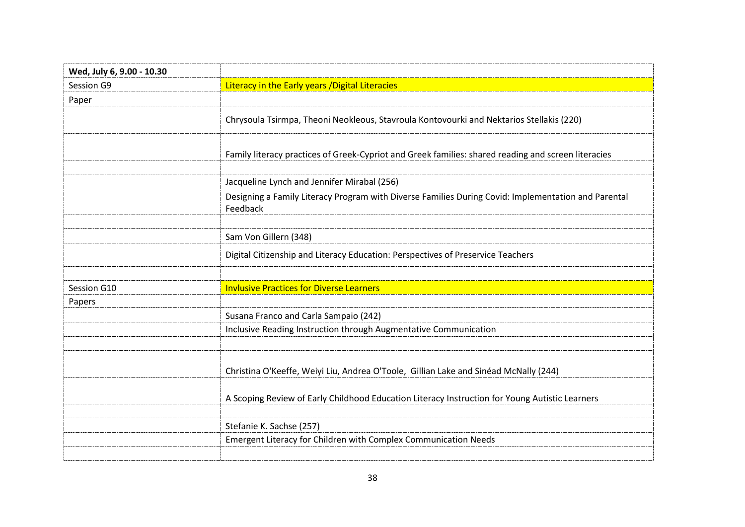| Wed, July 6, 9.00 - 10.30 |                                                                                                                 |
|---------------------------|-----------------------------------------------------------------------------------------------------------------|
| Session G9                | Literacy in the Early years / Digital Literacies                                                                |
| Paper                     |                                                                                                                 |
|                           | Chrysoula Tsirmpa, Theoni Neokleous, Stavroula Kontovourki and Nektarios Stellakis (220)                        |
|                           | Family literacy practices of Greek-Cypriot and Greek families: shared reading and screen literacies             |
|                           | Jacqueline Lynch and Jennifer Mirabal (256)                                                                     |
|                           | Designing a Family Literacy Program with Diverse Families During Covid: Implementation and Parental<br>Feedback |
|                           |                                                                                                                 |
|                           | Sam Von Gillern (348)                                                                                           |
|                           | Digital Citizenship and Literacy Education: Perspectives of Preservice Teachers                                 |
|                           |                                                                                                                 |
| Session G10               | <b>Invlusive Practices for Diverse Learners</b>                                                                 |
| Papers                    |                                                                                                                 |
|                           | Susana Franco and Carla Sampaio (242)                                                                           |
|                           | Inclusive Reading Instruction through Augmentative Communication                                                |
|                           |                                                                                                                 |
|                           | Christina O'Keeffe, Weiyi Liu, Andrea O'Toole, Gillian Lake and Sinéad McNally (244)                            |
|                           |                                                                                                                 |
|                           | A Scoping Review of Early Childhood Education Literacy Instruction for Young Autistic Learners                  |
|                           |                                                                                                                 |
|                           | Stefanie K. Sachse (257)                                                                                        |
|                           | Emergent Literacy for Children with Complex Communication Needs                                                 |
|                           |                                                                                                                 |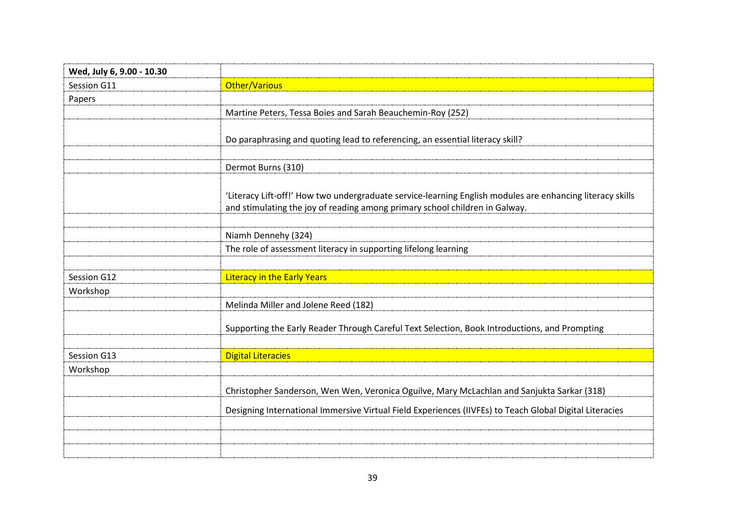| Wed, July 6, 9.00 - 10.30 |                                                                                                                                                                                          |
|---------------------------|------------------------------------------------------------------------------------------------------------------------------------------------------------------------------------------|
| Session G11               | <b>Other/Various</b>                                                                                                                                                                     |
| Papers                    |                                                                                                                                                                                          |
|                           | Martine Peters, Tessa Boies and Sarah Beauchemin-Roy (252)                                                                                                                               |
|                           | Do paraphrasing and quoting lead to referencing, an essential literacy skill?                                                                                                            |
|                           |                                                                                                                                                                                          |
|                           | Dermot Burns (310)                                                                                                                                                                       |
|                           | 'Literacy Lift-off!' How two undergraduate service-learning English modules are enhancing literacy skills<br>and stimulating the joy of reading among primary school children in Galway. |
|                           |                                                                                                                                                                                          |
|                           | Niamh Dennehy (324)                                                                                                                                                                      |
|                           | The role of assessment literacy in supporting lifelong learning                                                                                                                          |
|                           |                                                                                                                                                                                          |
| Session G12               | <b>Literacy in the Early Years</b>                                                                                                                                                       |
| Workshop                  |                                                                                                                                                                                          |
|                           | Melinda Miller and Jolene Reed (182)                                                                                                                                                     |
|                           | Supporting the Early Reader Through Careful Text Selection, Book Introductions, and Prompting                                                                                            |
|                           |                                                                                                                                                                                          |
| Session G13               | <b>Digital Literacies</b>                                                                                                                                                                |
| Workshop                  |                                                                                                                                                                                          |
|                           | Christopher Sanderson, Wen Wen, Veronica Oguilve, Mary McLachlan and Sanjukta Sarkar (318)                                                                                               |
|                           | Designing International Immersive Virtual Field Experiences (IIVFEs) to Teach Global Digital Literacies                                                                                  |
|                           |                                                                                                                                                                                          |
|                           |                                                                                                                                                                                          |
|                           |                                                                                                                                                                                          |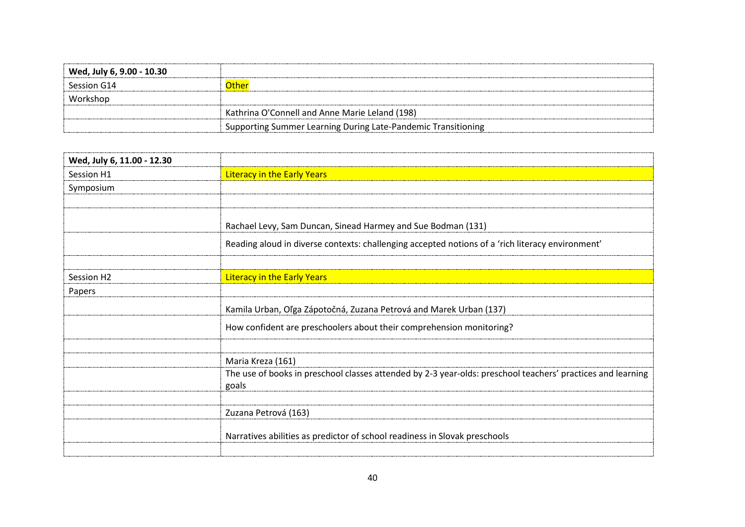| Wed, July 6, 9.00 - 10.30 |                                                               |
|---------------------------|---------------------------------------------------------------|
| Session G14               | )the                                                          |
| Workshop                  |                                                               |
|                           | Kathrina O'Connell and Anne Marie Leland (198)                |
|                           | Supporting Summer Learning During Late-Pandemic Transitioning |

| Wed, July 6, 11.00 - 12.30 |                                                                                                                      |
|----------------------------|----------------------------------------------------------------------------------------------------------------------|
| Session H1                 | <b>Literacy in the Early Years</b>                                                                                   |
| Symposium                  |                                                                                                                      |
|                            |                                                                                                                      |
|                            | Rachael Levy, Sam Duncan, Sinead Harmey and Sue Bodman (131)                                                         |
|                            | Reading aloud in diverse contexts: challenging accepted notions of a 'rich literacy environment'                     |
|                            |                                                                                                                      |
| Session H <sub>2</sub>     | <b>Literacy in the Early Years</b>                                                                                   |
| Papers                     |                                                                                                                      |
|                            | Kamila Urban, Oľga Zápotočná, Zuzana Petrová and Marek Urban (137)                                                   |
|                            | How confident are preschoolers about their comprehension monitoring?                                                 |
|                            |                                                                                                                      |
|                            | Maria Kreza (161)                                                                                                    |
|                            | The use of books in preschool classes attended by 2-3 year-olds: preschool teachers' practices and learning<br>goals |
|                            |                                                                                                                      |
|                            | Zuzana Petrová (163)                                                                                                 |
|                            | Narratives abilities as predictor of school readiness in Slovak preschools                                           |
|                            |                                                                                                                      |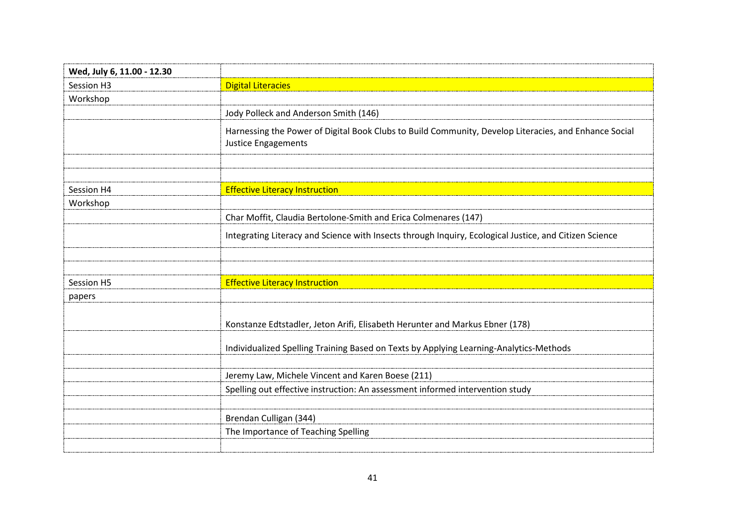| Wed, July 6, 11.00 - 12.30 |                                                                                                                              |
|----------------------------|------------------------------------------------------------------------------------------------------------------------------|
| Session H3                 | <b>Digital Literacies</b>                                                                                                    |
| Workshop                   |                                                                                                                              |
|                            | Jody Polleck and Anderson Smith (146)                                                                                        |
|                            | Harnessing the Power of Digital Book Clubs to Build Community, Develop Literacies, and Enhance Social<br>Justice Engagements |
|                            |                                                                                                                              |
|                            |                                                                                                                              |
| Session H4                 | <b>Effective Literacy Instruction</b>                                                                                        |
| Workshop                   |                                                                                                                              |
|                            | Char Moffit, Claudia Bertolone-Smith and Erica Colmenares (147)                                                              |
|                            | Integrating Literacy and Science with Insects through Inquiry, Ecological Justice, and Citizen Science                       |
|                            |                                                                                                                              |
|                            |                                                                                                                              |
| Session H5                 | <b>Effective Literacy Instruction</b>                                                                                        |
| papers                     |                                                                                                                              |
|                            | Konstanze Edtstadler, Jeton Arifi, Elisabeth Herunter and Markus Ebner (178)                                                 |
|                            | Individualized Spelling Training Based on Texts by Applying Learning-Analytics-Methods                                       |
|                            |                                                                                                                              |
|                            | Jeremy Law, Michele Vincent and Karen Boese (211)                                                                            |
|                            | Spelling out effective instruction: An assessment informed intervention study                                                |
|                            |                                                                                                                              |
|                            | Brendan Culligan (344)                                                                                                       |
|                            | The Importance of Teaching Spelling                                                                                          |
|                            |                                                                                                                              |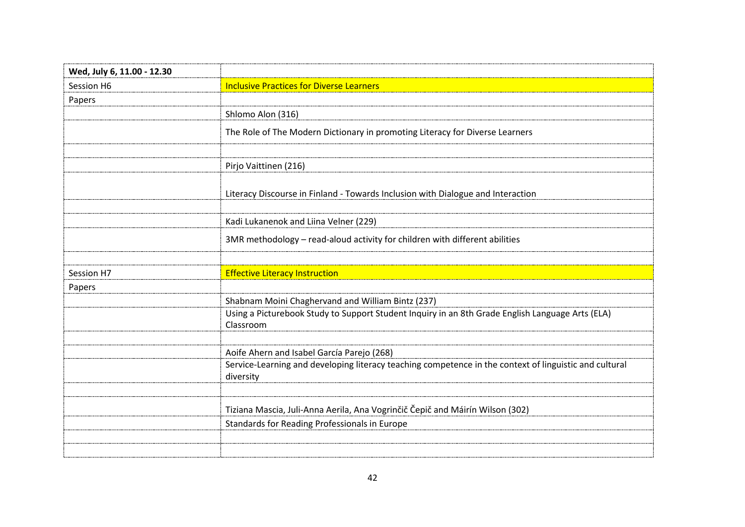| Wed, July 6, 11.00 - 12.30 |                                                                                                                     |
|----------------------------|---------------------------------------------------------------------------------------------------------------------|
| Session H6                 | <b>Inclusive Practices for Diverse Learners</b>                                                                     |
| Papers                     |                                                                                                                     |
|                            | Shlomo Alon (316)                                                                                                   |
|                            | The Role of The Modern Dictionary in promoting Literacy for Diverse Learners                                        |
|                            |                                                                                                                     |
|                            | Pirjo Vaittinen (216)                                                                                               |
|                            | Literacy Discourse in Finland - Towards Inclusion with Dialogue and Interaction                                     |
|                            | Kadi Lukanenok and Liina Velner (229)                                                                               |
|                            | 3MR methodology - read-aloud activity for children with different abilities                                         |
|                            |                                                                                                                     |
| Session H7                 | <b>Effective Literacy Instruction</b>                                                                               |
| Papers                     |                                                                                                                     |
|                            | Shabnam Moini Chaghervand and William Bintz (237)                                                                   |
|                            | Using a Picturebook Study to Support Student Inquiry in an 8th Grade English Language Arts (ELA)<br>Classroom       |
|                            |                                                                                                                     |
|                            | Aoife Ahern and Isabel García Parejo (268)                                                                          |
|                            | Service-Learning and developing literacy teaching competence in the context of linguistic and cultural<br>diversity |
|                            |                                                                                                                     |
|                            | Tiziana Mascia, Juli-Anna Aerila, Ana Vogrinčič Čepič and Máirín Wilson (302)                                       |
|                            | Standards for Reading Professionals in Europe                                                                       |
|                            |                                                                                                                     |
|                            |                                                                                                                     |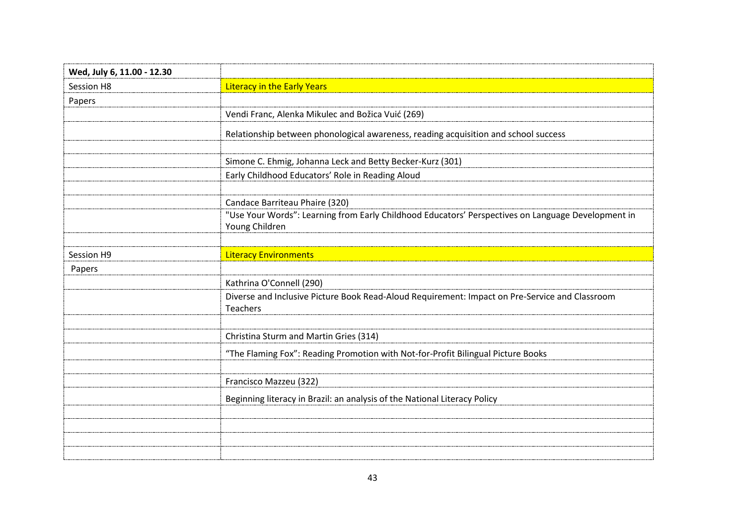| Wed, July 6, 11.00 - 12.30 |                                                                                                                      |
|----------------------------|----------------------------------------------------------------------------------------------------------------------|
| Session H8                 | <b>Literacy in the Early Years</b>                                                                                   |
| Papers                     |                                                                                                                      |
|                            | Vendi Franc, Alenka Mikulec and Božica Vuić (269)                                                                    |
|                            | Relationship between phonological awareness, reading acquisition and school success                                  |
|                            |                                                                                                                      |
|                            | Simone C. Ehmig, Johanna Leck and Betty Becker-Kurz (301)                                                            |
|                            | Early Childhood Educators' Role in Reading Aloud                                                                     |
|                            |                                                                                                                      |
|                            | Candace Barriteau Phaire (320)                                                                                       |
|                            | "Use Your Words": Learning from Early Childhood Educators' Perspectives on Language Development in<br>Young Children |
|                            |                                                                                                                      |
| Session H9                 | <b>Literacy Environments</b>                                                                                         |
| Papers                     |                                                                                                                      |
|                            | Kathrina O'Connell (290)                                                                                             |
|                            | Diverse and Inclusive Picture Book Read-Aloud Requirement: Impact on Pre-Service and Classroom<br>Teachers           |
|                            |                                                                                                                      |
|                            | Christina Sturm and Martin Gries (314)                                                                               |
|                            | "The Flaming Fox": Reading Promotion with Not-for-Profit Bilingual Picture Books                                     |
|                            | Francisco Mazzeu (322)                                                                                               |
|                            |                                                                                                                      |
|                            | Beginning literacy in Brazil: an analysis of the National Literacy Policy                                            |
|                            |                                                                                                                      |
|                            |                                                                                                                      |
|                            |                                                                                                                      |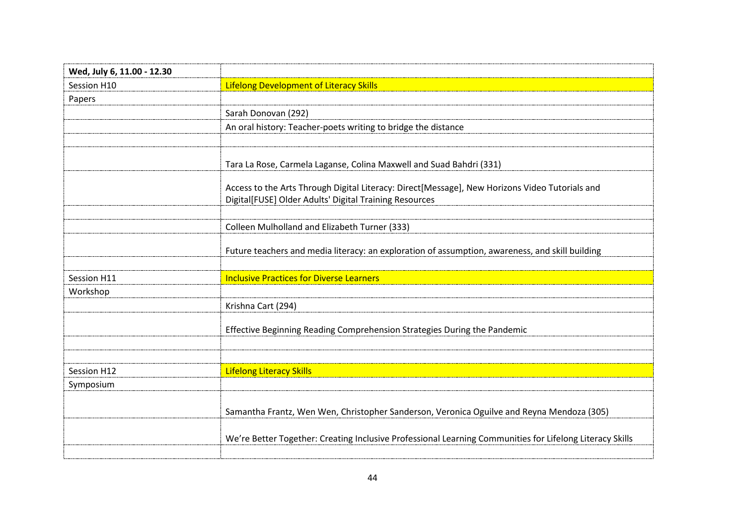| Wed, July 6, 11.00 - 12.30 |                                                                                                                                                          |
|----------------------------|----------------------------------------------------------------------------------------------------------------------------------------------------------|
| Session H10                | <b>Lifelong Development of Literacy Skills</b>                                                                                                           |
| Papers                     |                                                                                                                                                          |
|                            | Sarah Donovan (292)                                                                                                                                      |
|                            | An oral history: Teacher-poets writing to bridge the distance                                                                                            |
|                            |                                                                                                                                                          |
|                            | Tara La Rose, Carmela Laganse, Colina Maxwell and Suad Bahdri (331)                                                                                      |
|                            | Access to the Arts Through Digital Literacy: Direct[Message], New Horizons Video Tutorials and<br>Digital[FUSE] Older Adults' Digital Training Resources |
|                            |                                                                                                                                                          |
|                            | Colleen Mulholland and Elizabeth Turner (333)                                                                                                            |
|                            | Future teachers and media literacy: an exploration of assumption, awareness, and skill building                                                          |
|                            |                                                                                                                                                          |
| Session H11                | <b>Inclusive Practices for Diverse Learners</b>                                                                                                          |
| Workshop                   |                                                                                                                                                          |
|                            | Krishna Cart (294)                                                                                                                                       |
|                            | Effective Beginning Reading Comprehension Strategies During the Pandemic                                                                                 |
|                            |                                                                                                                                                          |
|                            |                                                                                                                                                          |
| Session H12                | <b>Lifelong Literacy Skills</b>                                                                                                                          |
| Symposium                  |                                                                                                                                                          |
|                            | Samantha Frantz, Wen Wen, Christopher Sanderson, Veronica Oguilve and Reyna Mendoza (305)                                                                |
|                            | We're Better Together: Creating Inclusive Professional Learning Communities for Lifelong Literacy Skills                                                 |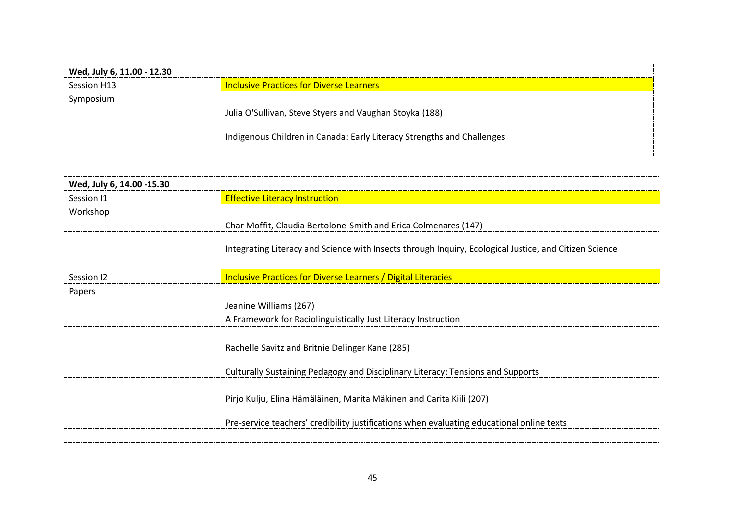| Wed, July 6, 11.00 - 12.30 |                                                                        |
|----------------------------|------------------------------------------------------------------------|
| Session H13                | <b>Inclusive Practices for Diverse Learners</b>                        |
| Symposium                  |                                                                        |
|                            | Julia O'Sullivan, Steve Styers and Vaughan Stoyka (188)                |
|                            | Indigenous Children in Canada: Early Literacy Strengths and Challenges |

| Wed, July 6, 14.00 -15.30 |                                                                                                        |
|---------------------------|--------------------------------------------------------------------------------------------------------|
| Session I1                | <b>Effective Literacy Instruction</b>                                                                  |
| Workshop                  |                                                                                                        |
|                           | Char Moffit, Claudia Bertolone-Smith and Erica Colmenares (147)                                        |
|                           | Integrating Literacy and Science with Insects through Inquiry, Ecological Justice, and Citizen Science |
| Session 12                | Inclusive Practices for Diverse Learners / Digital Literacies                                          |
| Papers                    |                                                                                                        |
|                           | Jeanine Williams (267)                                                                                 |
|                           | A Framework for Raciolinguistically Just Literacy Instruction                                          |
|                           |                                                                                                        |
|                           | Rachelle Savitz and Britnie Delinger Kane (285)                                                        |
|                           | Culturally Sustaining Pedagogy and Disciplinary Literacy: Tensions and Supports                        |
|                           | Pirjo Kulju, Elina Hämäläinen, Marita Mäkinen and Carita Kiili (207)                                   |
|                           | Pre-service teachers' credibility justifications when evaluating educational online texts              |
|                           |                                                                                                        |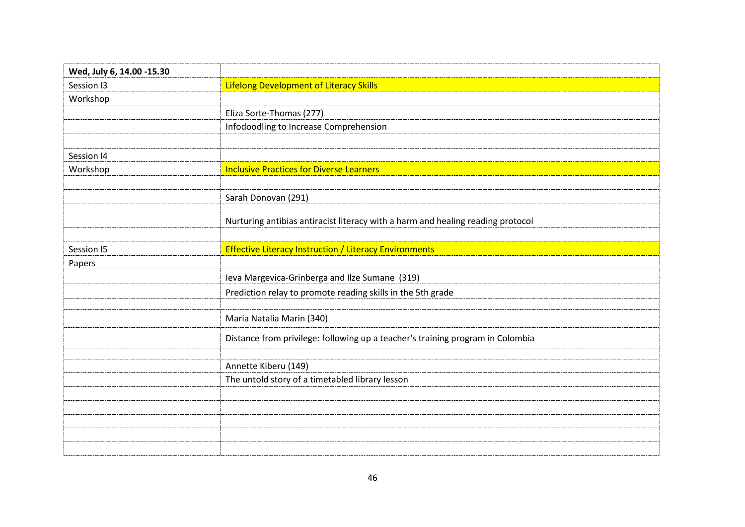| Wed, July 6, 14.00 -15.30 |                                                                                 |
|---------------------------|---------------------------------------------------------------------------------|
| Session I3                | <b>Lifelong Development of Literacy Skills</b>                                  |
| Workshop                  |                                                                                 |
|                           | Eliza Sorte-Thomas (277)                                                        |
|                           | Infodoodling to Increase Comprehension                                          |
|                           |                                                                                 |
| Session I4                |                                                                                 |
| Workshop                  | <b>Inclusive Practices for Diverse Learners</b>                                 |
|                           |                                                                                 |
|                           | Sarah Donovan (291)                                                             |
|                           |                                                                                 |
|                           | Nurturing antibias antiracist literacy with a harm and healing reading protocol |
|                           |                                                                                 |
| Session 15                | <b>Effective Literacy Instruction / Literacy Environments</b>                   |
| Papers                    |                                                                                 |
|                           | Ieva Margevica-Grinberga and Ilze Sumane (319)                                  |
|                           | Prediction relay to promote reading skills in the 5th grade                     |
|                           |                                                                                 |
|                           | Maria Natalia Marin (340)                                                       |
|                           | Distance from privilege: following up a teacher's training program in Colombia  |
|                           |                                                                                 |
|                           | Annette Kiberu (149)                                                            |
|                           | The untold story of a timetabled library lesson                                 |
|                           |                                                                                 |
|                           |                                                                                 |
|                           |                                                                                 |
|                           |                                                                                 |
|                           |                                                                                 |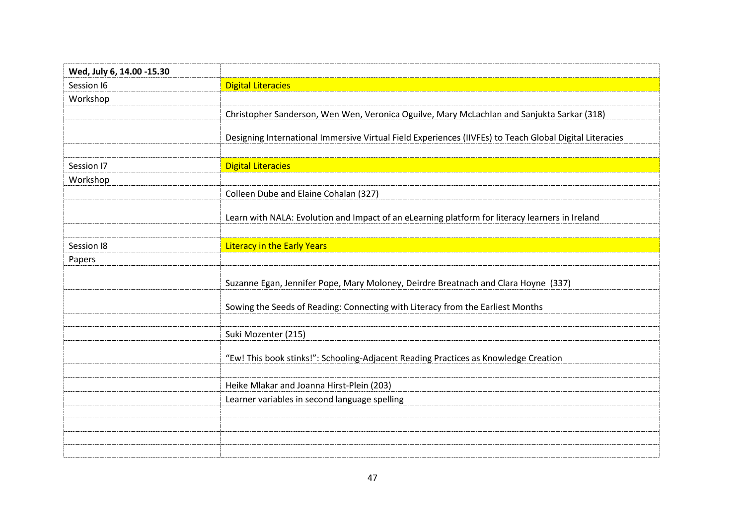| Wed, July 6, 14.00 -15.30 |                                                                                                         |
|---------------------------|---------------------------------------------------------------------------------------------------------|
| Session 16                | <b>Digital Literacies</b>                                                                               |
| Workshop                  |                                                                                                         |
|                           | Christopher Sanderson, Wen Wen, Veronica Oguilve, Mary McLachlan and Sanjukta Sarkar (318)              |
|                           | Designing International Immersive Virtual Field Experiences (IIVFEs) to Teach Global Digital Literacies |
|                           |                                                                                                         |
| Session 17                | <b>Digital Literacies</b>                                                                               |
| Workshop                  |                                                                                                         |
|                           | Colleen Dube and Elaine Cohalan (327)                                                                   |
|                           | Learn with NALA: Evolution and Impact of an eLearning platform for literacy learners in Ireland         |
|                           |                                                                                                         |
| Session <sub>18</sub>     | <b>Literacy in the Early Years</b>                                                                      |
| Papers                    |                                                                                                         |
|                           | Suzanne Egan, Jennifer Pope, Mary Moloney, Deirdre Breatnach and Clara Hoyne (337)                      |
|                           | Sowing the Seeds of Reading: Connecting with Literacy from the Earliest Months                          |
|                           | Suki Mozenter (215)                                                                                     |
|                           | "Ew! This book stinks!": Schooling-Adjacent Reading Practices as Knowledge Creation                     |
|                           |                                                                                                         |
|                           | Heike Mlakar and Joanna Hirst-Plein (203)                                                               |
|                           | Learner variables in second language spelling                                                           |
|                           |                                                                                                         |
|                           |                                                                                                         |
|                           |                                                                                                         |
|                           |                                                                                                         |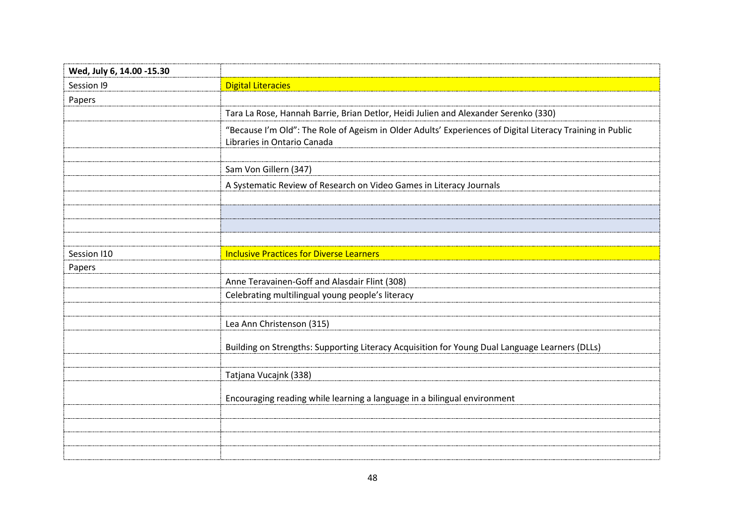| Wed, July 6, 14.00 -15.30 |                                                                                                                                          |
|---------------------------|------------------------------------------------------------------------------------------------------------------------------------------|
| Session 19                | <b>Digital Literacies</b>                                                                                                                |
| Papers                    |                                                                                                                                          |
|                           | Tara La Rose, Hannah Barrie, Brian Detlor, Heidi Julien and Alexander Serenko (330)                                                      |
|                           | "Because I'm Old": The Role of Ageism in Older Adults' Experiences of Digital Literacy Training in Public<br>Libraries in Ontario Canada |
|                           | Sam Von Gillern (347)                                                                                                                    |
|                           | A Systematic Review of Research on Video Games in Literacy Journals                                                                      |
|                           |                                                                                                                                          |
|                           |                                                                                                                                          |
| Session I10               | <b>Inclusive Practices for Diverse Learners</b>                                                                                          |
| Papers                    |                                                                                                                                          |
|                           | Anne Teravainen-Goff and Alasdair Flint (308)                                                                                            |
|                           | Celebrating multilingual young people's literacy                                                                                         |
|                           | Lea Ann Christenson (315)                                                                                                                |
|                           | Building on Strengths: Supporting Literacy Acquisition for Young Dual Language Learners (DLLs)                                           |
|                           | Tatjana Vucajnk (338)                                                                                                                    |
|                           | Encouraging reading while learning a language in a bilingual environment                                                                 |
|                           |                                                                                                                                          |
|                           |                                                                                                                                          |
|                           |                                                                                                                                          |